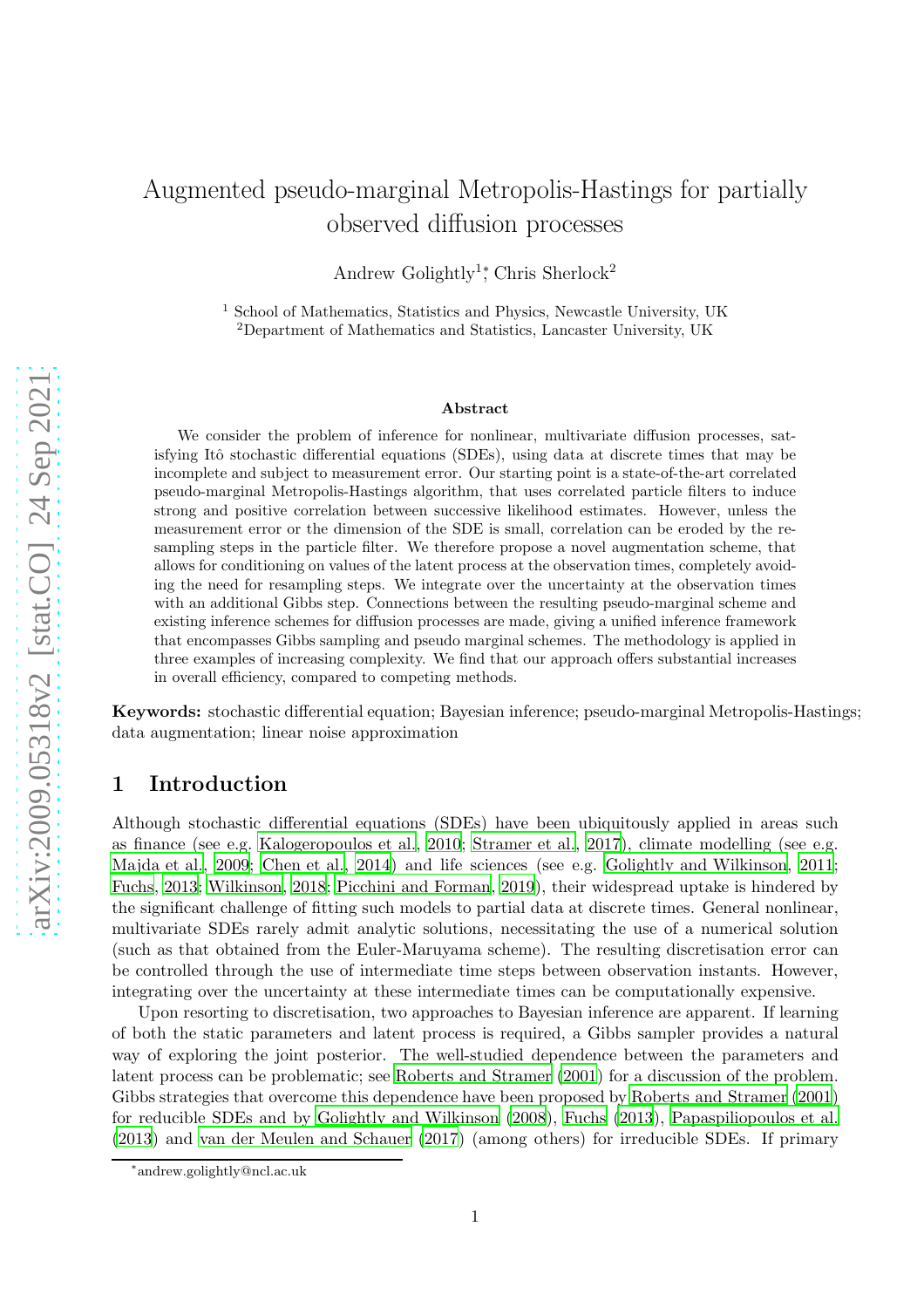# Augmented pseudo-marginal Metropolis-Hastings for partially observed diffusion processes

Andrew Golightly<sup>1</sup><sup>\*</sup>, Chris Sherlock<sup>2</sup>

<sup>1</sup> School of Mathematics, Statistics and Physics, Newcastle University, UK <sup>2</sup>Department of Mathematics and Statistics, Lancaster University, UK

#### Abstract

We consider the problem of inference for nonlinear, multivariate diffusion processes, satisfying Itô stochastic differential equations (SDEs), using data at discrete times that may be incomplete and subject to measurement error. Our starting point is a state-of-the-art correlated pseudo-marginal Metropolis-Hastings algorithm, that uses correlated particle filters to induce strong and positive correlation between successive likelihood estimates. However, unless the measurement error or the dimension of the SDE is small, correlation can be eroded by the resampling steps in the particle filter. We therefore propose a novel augmentation scheme, that allows for conditioning on values of the latent process at the observation times, completely avoiding the need for resampling steps. We integrate over the uncertainty at the observation times with an additional Gibbs step. Connections between the resulting pseudo-marginal scheme and existing inference schemes for diffusion processes are made, giving a unified inference framework that encompasses Gibbs sampling and pseudo marginal schemes. The methodology is applied in three examples of increasing complexity. We find that our approach offers substantial increases in overall efficiency, compared to competing methods.

Keywords: stochastic differential equation; Bayesian inference; pseudo-marginal Metropolis-Hastings; data augmentation; linear noise approximation

# 1 Introduction

Although stochastic differential equations (SDEs) have been ubiquitously applied in areas such as finance (see e.g. [Kalogeropoulos et al., 2010](#page-24-0); [Stramer et al.](#page-25-0), [2017\)](#page-25-0), climate modelling (see e.g. [Majda et al., 2009;](#page-24-1) [Chen et al., 2014](#page-23-0)) and life sciences (see e.g. [Golightly and Wilkinson](#page-24-2), [2011](#page-24-2); [Fuchs](#page-24-3), [2013](#page-24-3); [Wilkinson, 2018](#page-25-1); [Picchini and Forman](#page-25-2), [2019](#page-25-2)), their widespread uptake is hindered by the significant challenge of fitting such models to partial data at discrete times. General nonlinear, multivariate SDEs rarely admit analytic solutions, necessitating the use of a numerical solution (such as that obtained from the Euler-Maruyama scheme). The resulting discretisation error can be controlled through the use of intermediate time steps between observation instants. However, integrating over the uncertainty at these intermediate times can be computationally expensive.

Upon resorting to discretisation, two approaches to Bayesian inference are apparent. If learning of both the static parameters and latent process is required, a Gibbs sampler provides a natural way of exploring the joint posterior. The well-studied dependence between the parameters and latent process can be problematic; see [Roberts and Stramer \(2001](#page-25-3)) for a discussion of the problem. Gibbs strategies that overcome this dependence have been proposed by [Roberts and Stramer \(2001](#page-25-3)) for reducible SDEs and by [Golightly and Wilkinson \(2008](#page-24-4)), [Fuchs \(2013\)](#page-24-3), [Papaspiliopoulos et al.](#page-24-5) [\(2013](#page-24-5)) and [van der Meulen and Schauer \(2017](#page-25-4)) (among others) for irreducible SDEs. If primary

<sup>∗</sup> andrew.golightly@ncl.ac.uk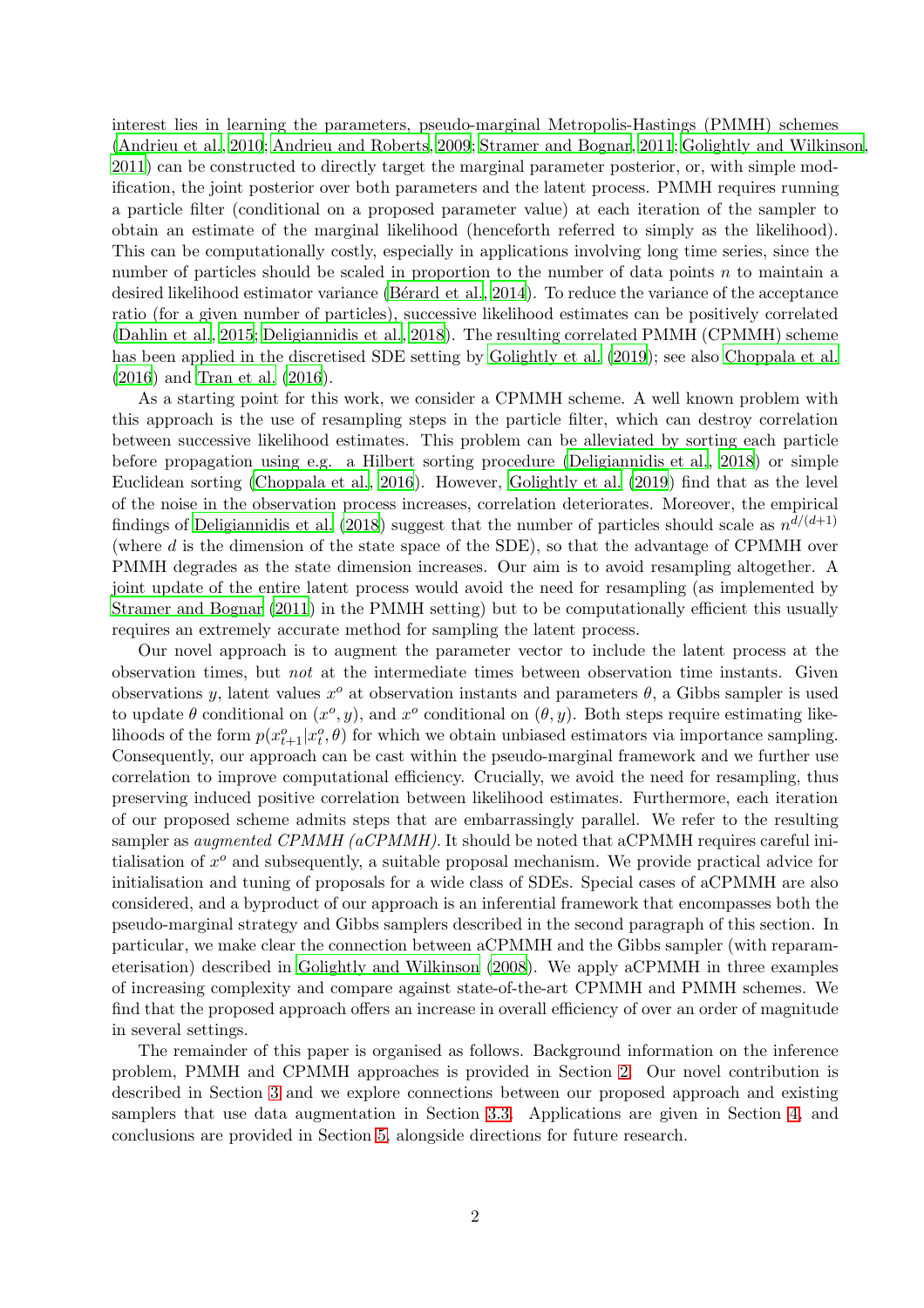interest lies in learning the parameters, pseudo-marginal Metropolis-Hastings (PMMH) schemes [\(Andrieu et al., 2010;](#page-23-1) [Andrieu and Roberts](#page-23-2), [2009](#page-23-2); [Stramer and Bognar](#page-25-5), [2011;](#page-25-5) [Golightly and Wilkinson](#page-24-2), [2011\)](#page-24-2) can be constructed to directly target the marginal parameter posterior, or, with simple modification, the joint posterior over both parameters and the latent process. PMMH requires running a particle filter (conditional on a proposed parameter value) at each iteration of the sampler to obtain an estimate of the marginal likelihood (henceforth referred to simply as the likelihood). This can be computationally costly, especially in applications involving long time series, since the number of particles should be scaled in proportion to the number of data points n to maintain a desired likelihood estimator variance (Bérard et al., [2014\)](#page-23-3). To reduce the variance of the acceptance ratio (for a given number of particles), successive likelihood estimates can be positively correlated [\(Dahlin et al.](#page-23-4), [2015](#page-23-4); [Deligiannidis et al., 2018](#page-24-6)). The resulting correlated PMMH (CPMMH) scheme has been applied in the discretised SDE setting by [Golightly](#page-24-7) et al. [\(2019\)](#page-24-7); see also [Choppala et al.](#page-23-5) [\(2016](#page-23-5)) and [Tran et al. \(2016](#page-25-6)).

As a starting point for this work, we consider a CPMMH scheme. A well known problem with this approach is the use of resampling steps in the particle filter, which can destroy correlation between successive likelihood estimates. This problem can be alleviated by sorting each particle before propagation using e.g. a Hilbert sorting procedure [\(Deligiannidis et al.](#page-24-6), [2018\)](#page-24-6) or simple Euclidean sorting [\(Choppala et al.](#page-23-5), [2016](#page-23-5)). However, [Golightly et al. \(2019](#page-24-7)) find that as the level of the noise in the observation process increases, correlation deteriorates. Moreover, the empirical findings of [Deligiannidis et al. \(2018](#page-24-6)) suggest that the number of particles should scale as  $n^{d/(d+1)}$ (where d is the dimension of the state space of the SDE), so that the advantage of CPMMH over PMMH degrades as the state dimension increases. Our aim is to avoid resampling altogether. A joint update of the entire latent process would avoid the need for resampling (as implemented by [Stramer and Bognar \(2011](#page-25-5)) in the PMMH setting) but to be computationally efficient this usually requires an extremely accurate method for sampling the latent process.

Our novel approach is to augment the parameter vector to include the latent process at the observation times, but not at the intermediate times between observation time instants. Given observations y, latent values  $x^o$  at observation instants and parameters  $\theta$ , a Gibbs sampler is used to update  $\theta$  conditional on  $(x^o, y)$ , and  $x^o$  conditional on  $(\theta, y)$ . Both steps require estimating likelihoods of the form  $p(x_{t+1}^o|x_t^o, \theta)$  for which we obtain unbiased estimators via importance sampling. Consequently, our approach can be cast within the pseudo-marginal framework and we further use correlation to improve computational efficiency. Crucially, we avoid the need for resampling, thus preserving induced positive correlation between likelihood estimates. Furthermore, each iteration of our proposed scheme admits steps that are embarrassingly parallel. We refer to the resulting sampler as *augmented CPMMH (aCPMMH)*. It should be noted that aCPMMH requires careful initialisation of  $x^o$  and subsequently, a suitable proposal mechanism. We provide practical advice for initialisation and tuning of proposals for a wide class of SDEs. Special cases of aCPMMH are also considered, and a byproduct of our approach is an inferential framework that encompasses both the pseudo-marginal strategy and Gibbs samplers described in the second paragraph of this section. In particular, we make clear the connection between aCPMMH and the Gibbs sampler (with reparameterisation) described in [Golightly and Wilkinson \(2008](#page-24-4)). We apply aCPMMH in three examples of increasing complexity and compare against state-of-the-art CPMMH and PMMH schemes. We find that the proposed approach offers an increase in overall efficiency of over an order of magnitude in several settings.

The remainder of this paper is organised as follows. Background information on the inference problem, PMMH and CPMMH approaches is provided in Section [2.](#page-2-0) Our novel contribution is described in Section [3](#page-6-0) and we explore connections between our proposed approach and existing samplers that use data augmentation in Section [3.3.](#page-9-0) Applications are given in Section [4,](#page-12-0) and conclusions are provided in Section [5,](#page-17-0) alongside directions for future research.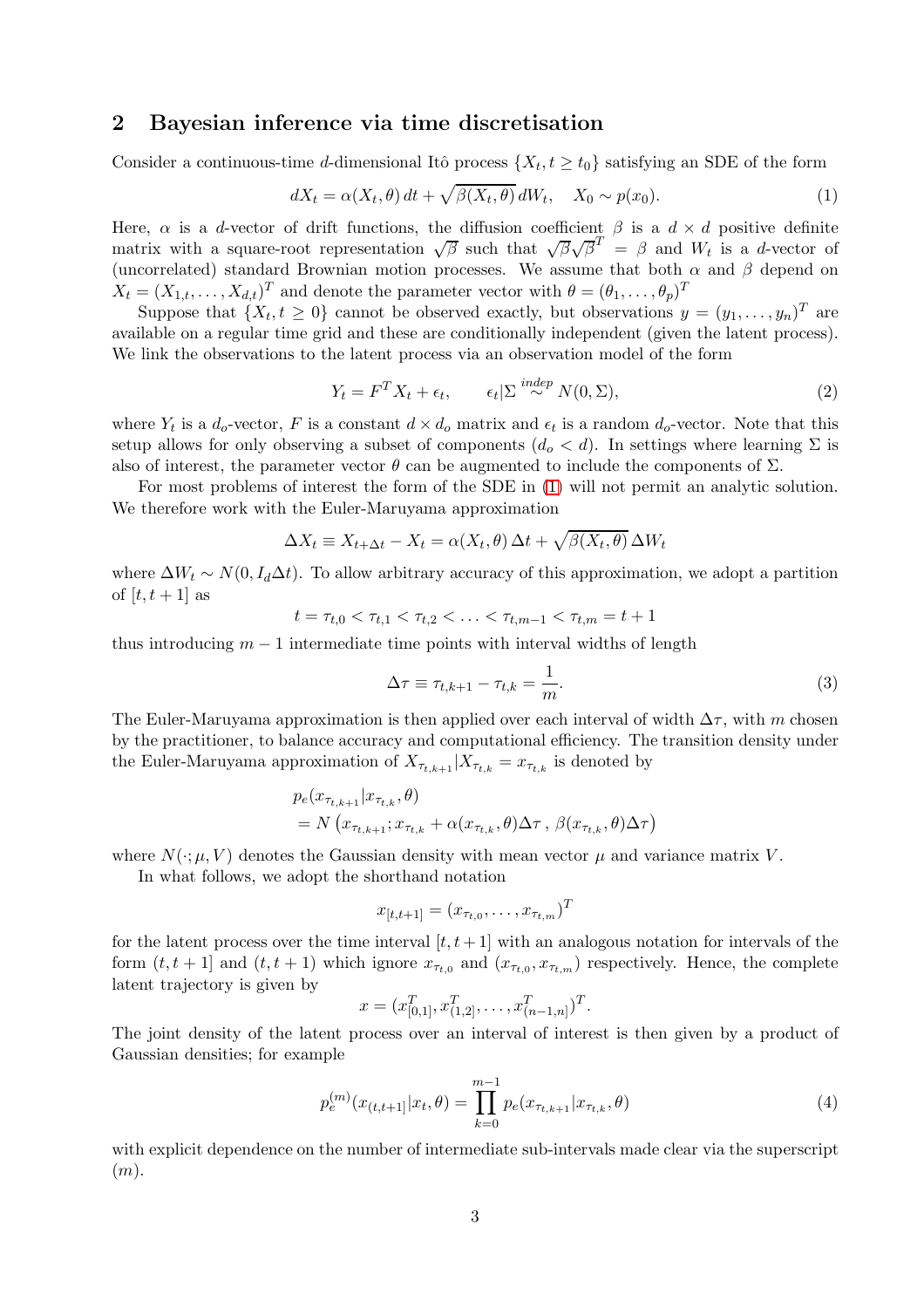# <span id="page-2-0"></span>2 Bayesian inference via time discretisation

Consider a continuous-time d-dimensional Itô process  $\{X_t, t \ge t_0\}$  satisfying an SDE of the form

<span id="page-2-1"></span>
$$
dX_t = \alpha(X_t, \theta) dt + \sqrt{\beta(X_t, \theta)} dW_t, \quad X_0 \sim p(x_0).
$$
 (1)

Here,  $\alpha$  is a d-vector of drift functions, the diffusion coefficient  $\beta$  is a  $d \times d$  positive definite matrix with a square-root representation  $\sqrt{\beta}$  such that  $\sqrt{\beta}\sqrt{\beta}^T = \beta$  and  $W_t$  is a d-vector of (uncorrelated) standard Brownian motion processes. We assume that both  $\alpha$  and  $\beta$  depend on  $X_t = (X_{1,t}, \ldots, X_{d,t})^T$  and denote the parameter vector with  $\theta = (\theta_1, \ldots, \theta_p)^T$ 

Suppose that  $\{X_t, t \geq 0\}$  cannot be observed exactly, but observations  $y = (y_1, \ldots, y_n)^T$  are available on a regular time grid and these are conditionally independent (given the latent process). We link the observations to the latent process via an observation model of the form

<span id="page-2-3"></span>
$$
Y_t = F^T X_t + \epsilon_t, \qquad \epsilon_t | \Sigma \stackrel{indep}{\sim} N(0, \Sigma), \tag{2}
$$

where  $Y_t$  is a  $d_o$ -vector, F is a constant  $d \times d_o$  matrix and  $\epsilon_t$  is a random  $d_o$ -vector. Note that this setup allows for only observing a subset of components  $(d_o < d)$ . In settings where learning  $\Sigma$  is also of interest, the parameter vector  $\theta$  can be augmented to include the components of  $\Sigma$ .

For most problems of interest the form of the SDE in [\(1\)](#page-2-1) will not permit an analytic solution. We therefore work with the Euler-Maruyama approximation

$$
\Delta X_t \equiv X_{t + \Delta t} - X_t = \alpha(X_t, \theta) \Delta t + \sqrt{\beta(X_t, \theta)} \Delta W_t
$$

where  $\Delta W_t \sim N(0, I_d\Delta t)$ . To allow arbitrary accuracy of this approximation, we adopt a partition of  $[t, t+1]$  as

$$
t = \tau_{t,0} < \tau_{t,1} < \tau_{t,2} < \ldots < \tau_{t,m-1} < \tau_{t,m} = t+1
$$

thus introducing  $m - 1$  intermediate time points with interval widths of length

$$
\Delta \tau \equiv \tau_{t,k+1} - \tau_{t,k} = \frac{1}{m}.\tag{3}
$$

The Euler-Maruyama approximation is then applied over each interval of width  $\Delta \tau$ , with m chosen by the practitioner, to balance accuracy and computational efficiency. The transition density under the Euler-Maruyama approximation of  $X_{\tau_{t,k+1}}|X_{\tau_{t,k}} = x_{\tau_{t,k}}$  is denoted by

$$
p_e(x_{\tau_{t,k+1}}|x_{\tau_{t,k}}, \theta)
$$
  
=  $N(x_{\tau_{t,k+1}}; x_{\tau_{t,k}} + \alpha(x_{\tau_{t,k}}, \theta) \Delta \tau, \beta(x_{\tau_{t,k}}, \theta) \Delta \tau)$ 

where  $N(\cdot; \mu, V)$  denotes the Gaussian density with mean vector  $\mu$  and variance matrix V.

In what follows, we adopt the shorthand notation

$$
x_{[t,t+1]} = (x_{\tau_{t,0}}, \ldots, x_{\tau_{t,m}})^T
$$

for the latent process over the time interval  $[t, t + 1]$  with an analogous notation for intervals of the form  $(t, t + 1]$  and  $(t, t + 1)$  which ignore  $x_{\tau_{t,0}}$  and  $(x_{\tau_{t,0}}, x_{\tau_{t,m}})$  respectively. Hence, the complete latent trajectory is given by

$$
x = (x_{[0,1]}^T, x_{(1,2]}^T, \dots, x_{(n-1,n]}^T)^T.
$$

The joint density of the latent process over an interval of interest is then given by a product of Gaussian densities; for example

<span id="page-2-2"></span>
$$
p_e^{(m)}(x_{(t,t+1]}|x_t, \theta) = \prod_{k=0}^{m-1} p_e(x_{\tau_{t,k+1}}|x_{\tau_{t,k}}, \theta)
$$
\n(4)

with explicit dependence on the number of intermediate sub-intervals made clear via the superscript  $(m).$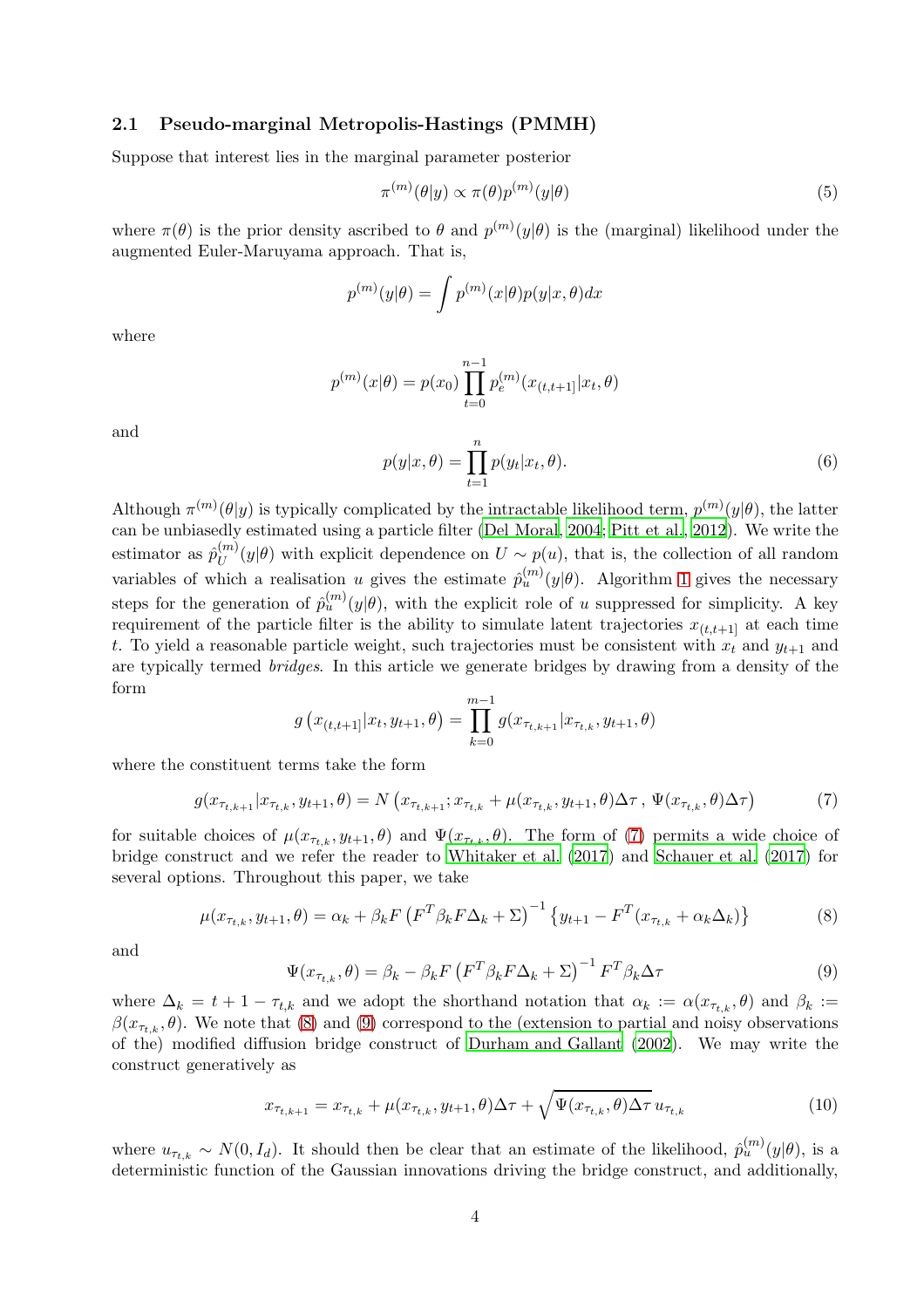### <span id="page-3-5"></span>2.1 Pseudo-marginal Metropolis-Hastings (PMMH)

Suppose that interest lies in the marginal parameter posterior

<span id="page-3-3"></span>
$$
\pi^{(m)}(\theta|y) \propto \pi(\theta)p^{(m)}(y|\theta)
$$
\n(5)

where  $\pi(\theta)$  is the prior density ascribed to  $\theta$  and  $p^{(m)}(y|\theta)$  is the (marginal) likelihood under the augmented Euler-Maruyama approach. That is,

$$
p^{(m)}(y|\theta) = \int p^{(m)}(x|\theta)p(y|x,\theta)dx
$$

where

$$
p^{(m)}(x|\theta) = p(x_0) \prod_{t=0}^{n-1} p_e^{(m)}(x_{(t,t+1)}|x_t, \theta)
$$

and

<span id="page-3-4"></span>
$$
p(y|x,\theta) = \prod_{t=1}^{n} p(y_t|x_t,\theta).
$$
\n(6)

Although  $\pi^{(m)}(\theta|y)$  is typically complicated by the intractable likelihood term,  $p^{(m)}(y|\theta)$ , the latter can be unbiasedly estimated using a particle filter [\(Del Moral, 2004](#page-23-6); [Pitt et al.](#page-25-7), [2012\)](#page-25-7). We write the estimator as  $\hat{p}_{IJ}^{(m)}$  $U^{(n)}(y|\theta)$  with explicit dependence on  $U \sim p(u)$ , that is, the collection of all random variables of which a realisation u gives the estimate  $\hat{p}_u^{(m)}(y|\theta)$ . Algorithm [1](#page-4-0) gives the necessary steps for the generation of  $\hat{p}_u^{(m)}(y|\theta)$ , with the explicit role of u suppressed for simplicity. A key requirement of the particle filter is the ability to simulate latent trajectories  $x_{(t,t+1)}$  at each time t. To yield a reasonable particle weight, such trajectories must be consistent with  $x_t$  and  $y_{t+1}$  and are typically termed bridges. In this article we generate bridges by drawing from a density of the form

<span id="page-3-0"></span>
$$
g(x_{(t,t+1)}|x_t, y_{t+1}, \theta) = \prod_{k=0}^{m-1} g(x_{\tau_{t,k+1}}|x_{\tau_{t,k}}, y_{t+1}, \theta)
$$

where the constituent terms take the form

$$
g(x_{\tau_{t,k+1}}|x_{\tau_{t,k}}, y_{t+1}, \theta) = N(x_{\tau_{t,k+1}}; x_{\tau_{t,k}} + \mu(x_{\tau_{t,k}}, y_{t+1}, \theta) \Delta \tau, \Psi(x_{\tau_{t,k}}, \theta) \Delta \tau)
$$
(7)

for suitable choices of  $\mu(x_{\tau_{t,k}}, y_{t+1}, \theta)$  and  $\Psi(x_{\tau_{t,k}}, \theta)$ . The form of [\(7\)](#page-3-0) permits a wide choice of bridge construct and we refer the reader to [Whitaker et al. \(2017](#page-25-8)) and [Schauer et al. \(2017](#page-25-9)) for several options. Throughout this paper, we take

$$
\mu(x_{\tau_{t,k}}, y_{t+1}, \theta) = \alpha_k + \beta_k F \left( F^T \beta_k F \Delta_k + \Sigma \right)^{-1} \left\{ y_{t+1} - F^T (x_{\tau_{t,k}} + \alpha_k \Delta_k) \right\} \tag{8}
$$

and

<span id="page-3-2"></span><span id="page-3-1"></span>
$$
\Psi(x_{\tau_{t,k}}, \theta) = \beta_k - \beta_k F \left( F^T \beta_k F \Delta_k + \Sigma \right)^{-1} F^T \beta_k \Delta \tau \tag{9}
$$

where  $\Delta_k = t + 1 - \tau_{t,k}$  and we adopt the shorthand notation that  $\alpha_k := \alpha(x_{\tau_{t,k}}, \theta)$  and  $\beta_k :=$  $\beta(x_{\tau_{t,k}}, \theta)$ . We note that [\(8\)](#page-3-1) and [\(9\)](#page-3-2) correspond to the (extension to partial and noisy observations of the) modified diffusion bridge construct of [Durham and Gallant \(2002](#page-24-8)). We may write the construct generatively as

<span id="page-3-6"></span>
$$
x_{\tau_{t,k+1}} = x_{\tau_{t,k}} + \mu(x_{\tau_{t,k}}, y_{t+1}, \theta) \Delta \tau + \sqrt{\Psi(x_{\tau_{t,k}}, \theta) \Delta \tau} u_{\tau_{t,k}}
$$
(10)

where  $u_{\tau_{t,k}} \sim N(0, I_d)$ . It should then be clear that an estimate of the likelihood,  $\hat{p}_u^{(m)}(y|\theta)$ , is a deterministic function of the Gaussian innovations driving the bridge construct, and additionally,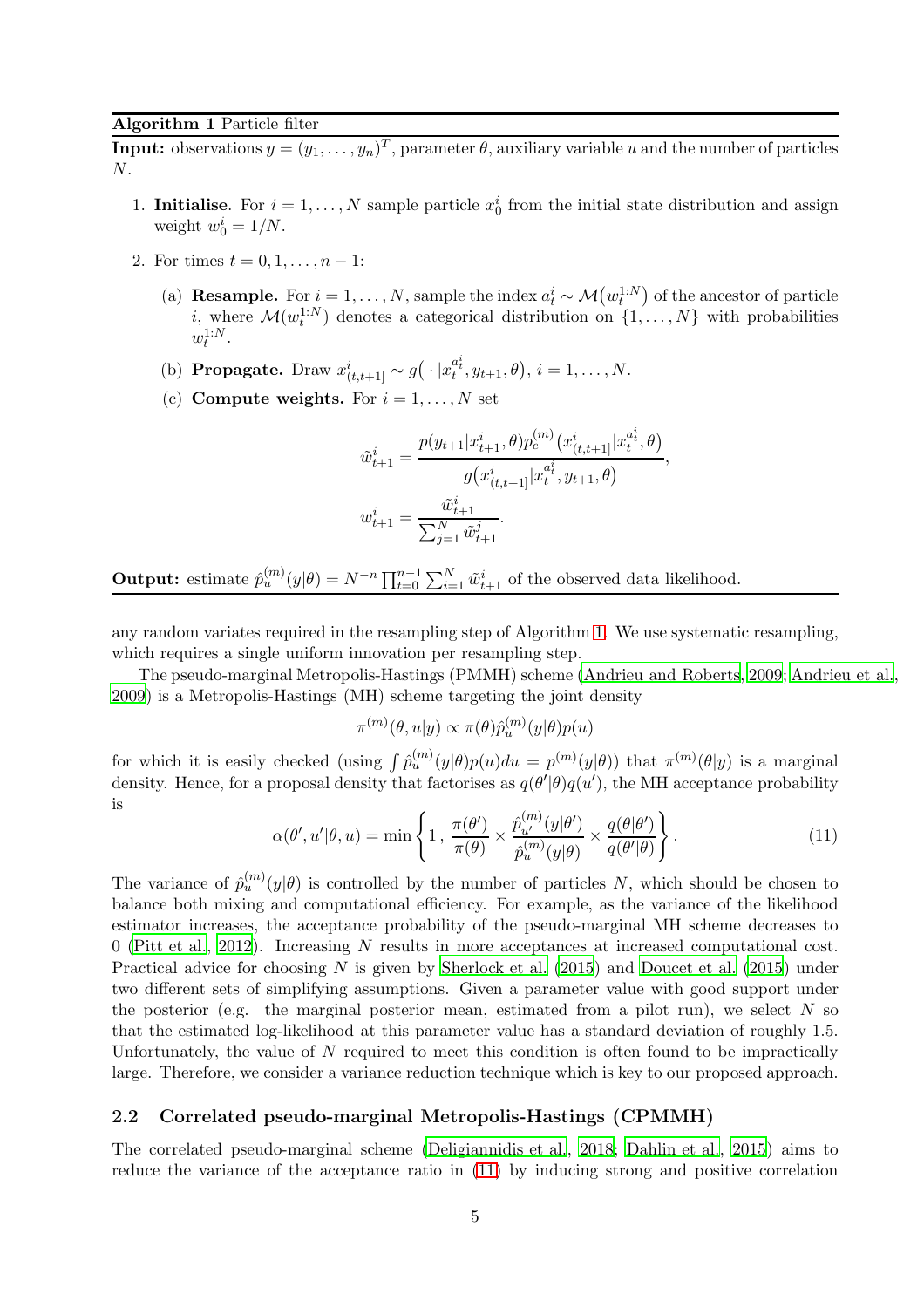### <span id="page-4-0"></span>Algorithm 1 Particle filter

**Input:** observations  $y = (y_1, \ldots, y_n)^T$ , parameter  $\theta$ , auxiliary variable u and the number of particles N.

- 1. **Initialise**. For  $i = 1, ..., N$  sample particle  $x_0^i$  from the initial state distribution and assign weight  $w_0^i = 1/N$ .
- 2. For times  $t = 0, 1, ..., n 1$ :
	- (a) **Resample.** For  $i = 1, ..., N$ , sample the index  $a_t^i \sim \mathcal{M}(w_t^{1:N})$  of the ancestor of particle *i*, where  $\mathcal{M}(w_t^{1:N})$  denotes a categorical distribution on  $\{1,\ldots,N\}$  with probabilities  $w_t^{1:N}$ .
	- (b) **Propagate.** Draw  $x_{(t,t+1]}^i \sim g(\cdot | x_t^{a_t^i}, y_{t+1}, \theta), i = 1, ..., N$ .
	- (c) Compute weights. For  $i = 1, ..., N$  set

$$
\tilde{w}_{t+1}^i = \frac{p(y_{t+1}|x_{t+1}^i, \theta)p_e^{(m)}(x_{(t,t+1)}^i|x_t^{a_t^i}, \theta)}{g(x_{(t,t+1)}^i|x_t^{a_t^i}, y_{t+1}, \theta)},
$$

$$
w_{t+1}^i = \frac{\tilde{w}_{t+1}^i}{\sum_{j=1}^N \tilde{w}_{t+1}^j}.
$$

**Output:** estimate  $\hat{p}_u^{(m)}(y|\theta) = N^{-n} \prod_{t=0}^{n-1} \sum_{i=1}^N \tilde{w}_{t+1}^i$  of the observed data likelihood.

any random variates required in the resampling step of Algorithm [1.](#page-4-0) We use systematic resampling, which requires a single uniform innovation per resampling step.

The pseudo-marginal Metropolis-Hastings (PMMH) scheme [\(Andrieu and Roberts, 2009](#page-23-2); [Andrieu et al.,](#page-22-0) [2009\)](#page-22-0) is a Metropolis-Hastings (MH) scheme targeting the joint density

$$
\pi^{(m)}(\theta, u|y) \propto \pi(\theta) \hat{p}_u^{(m)}(y|\theta) p(u)
$$

for which it is easily checked (using  $\int \hat{p}_u^{(m)}(y|\theta)p(u)du = p^{(m)}(y|\theta)$ ) that  $\pi^{(m)}(\theta|y)$  is a marginal density. Hence, for a proposal density that factorises as  $q(\theta'|\theta)q(u')$ , the MH acceptance probability is

<span id="page-4-1"></span>
$$
\alpha(\theta', u'|\theta, u) = \min\left\{1, \frac{\pi(\theta')}{\pi(\theta)} \times \frac{\hat{p}_{u'}^{(m)}(y|\theta')}{\hat{p}_u^{(m)}(y|\theta)} \times \frac{q(\theta|\theta')}{q(\theta'|\theta)}\right\}.
$$
\n(11)

The variance of  $\hat{p}_u^{(m)}(y|\theta)$  is controlled by the number of particles N, which should be chosen to balance both mixing and computational efficiency. For example, as the variance of the likelihood estimator increases, the acceptance probability of the pseudo-marginal MH scheme decreases to 0 [\(Pitt et al.](#page-25-7), [2012](#page-25-7)). Increasing N results in more acceptances at increased computational cost. Practical advice for choosing N is given by Sherlock et al.  $(2015)$  and Doucet et al.  $(2015)$  under two different sets of simplifying assumptions. Given a parameter value with good support under the posterior (e.g. the marginal posterior mean, estimated from a pilot run), we select  $N$  so that the estimated log-likelihood at this parameter value has a standard deviation of roughly 1.5. Unfortunately, the value of  $N$  required to meet this condition is often found to be impractically large. Therefore, we consider a variance reduction technique which is key to our proposed approach.

# <span id="page-4-2"></span>2.2 Correlated pseudo-marginal Metropolis-Hastings (CPMMH)

The correlated pseudo-marginal scheme [\(Deligiannidis et al.](#page-24-6), [2018](#page-24-6); [Dahlin et al.](#page-23-4), [2015](#page-23-4)) aims to reduce the variance of the acceptance ratio in [\(11\)](#page-4-1) by inducing strong and positive correlation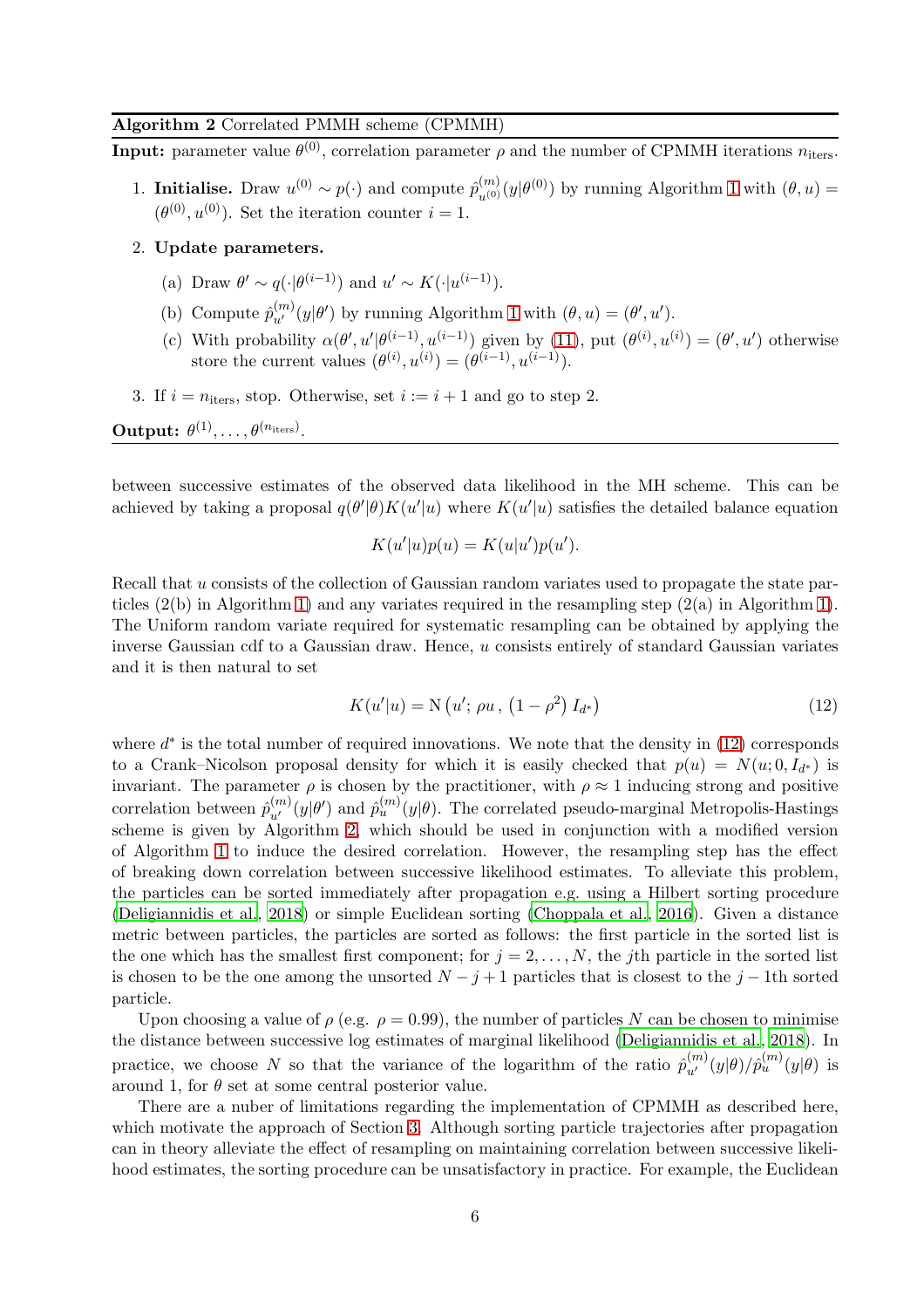### <span id="page-5-1"></span>Algorithm 2 Correlated PMMH scheme (CPMMH)

**Input:** parameter value  $\theta^{(0)}$ , correlation parameter  $\rho$  and the number of CPMMH iterations  $n_{\text{iters}}$ .

1. **Initialise.** Draw  $u^{(0)} \sim p(\cdot)$  and compute  $\hat{p}_{u^{(0)}}^{(m)}(y|\theta^{(0)})$  by running Algorithm [1](#page-4-0) with  $(\theta, u)$  =  $(\theta^{(0)}, u^{(0)})$ . Set the iteration counter  $i = 1$ .

#### 2. Update parameters.

- (a) Draw  $\theta' \sim q(\cdot | \theta^{(i-1)})$  and  $u' \sim K(\cdot | u^{(i-1)})$ .
- (b) Compute  $\hat{p}_{u'}^{(m)}(y|\theta')$  by running Algorithm [1](#page-4-0) with  $(\theta, u) = (\theta', u')$ .
- (c) With probability  $\alpha(\theta', u'|\theta^{(i-1)}, u^{(i-1)})$  given by [\(11\)](#page-4-1), put  $(\theta^{(i)}, u^{(i)}) = (\theta', u')$  otherwise store the current values  $(\theta^{(i)}, u^{(i)}) = (\theta^{(i-1)}, u^{(i-1)}).$
- 3. If  $i = n_{\text{iters}}$ , stop. Otherwise, set  $i := i + 1$  and go to step 2.

 $\textbf{Output:} \,\,\theta^{(1)}, \ldots, \theta^{(n_{\text{iters}})}.$ 

between successive estimates of the observed data likelihood in the MH scheme. This can be achieved by taking a proposal  $q(\theta'|\theta)K(u'|u)$  where  $K(u'|u)$  satisfies the detailed balance equation

$$
K(u'|u)p(u) = K(u|u')p(u').
$$

Recall that u consists of the collection of Gaussian random variates used to propagate the state particles  $(2(b)$  in Algorithm [1\)](#page-4-0) and any variates required in the resampling step  $(2(a)$  in Algorithm 1). The Uniform random variate required for systematic resampling can be obtained by applying the inverse Gaussian cdf to a Gaussian draw. Hence, u consists entirely of standard Gaussian variates and it is then natural to set

<span id="page-5-0"></span>
$$
K(u'|u) = N(u'; \rho u, (1 - \rho^2) I_{d^*})
$$
\n(12)

where  $d^*$  is the total number of required innovations. We note that the density in [\(12\)](#page-5-0) corresponds to a Crank–Nicolson proposal density for which it is easily checked that  $p(u) = N(u, 0, I_{d^*})$  is invariant. The parameter  $\rho$  is chosen by the practitioner, with  $\rho \approx 1$  inducing strong and positive correlation between  $\hat{p}_{u'}^{(m)}(y|\theta')$  and  $\hat{p}_{u}^{(m)}(y|\theta)$ . The correlated pseudo-marginal Metropolis-Hastings scheme is given by Algorithm [2,](#page-5-1) which should be used in conjunction with a modified version of Algorithm [1](#page-4-0) to induce the desired correlation. However, the resampling step has the effect of breaking down correlation between successive likelihood estimates. To alleviate this problem, the particles can be sorted immediately after propagation e.g. using a Hilbert sorting procedure [\(Deligiannidis et al., 2018\)](#page-24-6) or simple Euclidean sorting [\(Choppala et al., 2016\)](#page-23-5). Given a distance metric between particles, the particles are sorted as follows: the first particle in the sorted list is the one which has the smallest first component; for  $j = 2, \ldots, N$ , the jth particle in the sorted list is chosen to be the one among the unsorted  $N - j + 1$  particles that is closest to the j – 1th sorted particle.

Upon choosing a value of  $\rho$  (e.g.  $\rho = 0.99$ ), the number of particles N can be chosen to minimise the distance between successive log estimates of marginal likelihood [\(Deligiannidis et al., 2018](#page-24-6)). In practice, we choose N so that the variance of the logarithm of the ratio  $\hat{p}_{u'}^{(m)}(y|\theta)/\hat{p}_{u}^{(m)}(y|\theta)$  is around 1, for  $\theta$  set at some central posterior value.

There are a nuber of limitations regarding the implementation of CPMMH as described here, which motivate the approach of Section [3.](#page-6-0) Although sorting particle trajectories after propagation can in theory alleviate the effect of resampling on maintaining correlation between successive likelihood estimates, the sorting procedure can be unsatisfactory in practice. For example, the Euclidean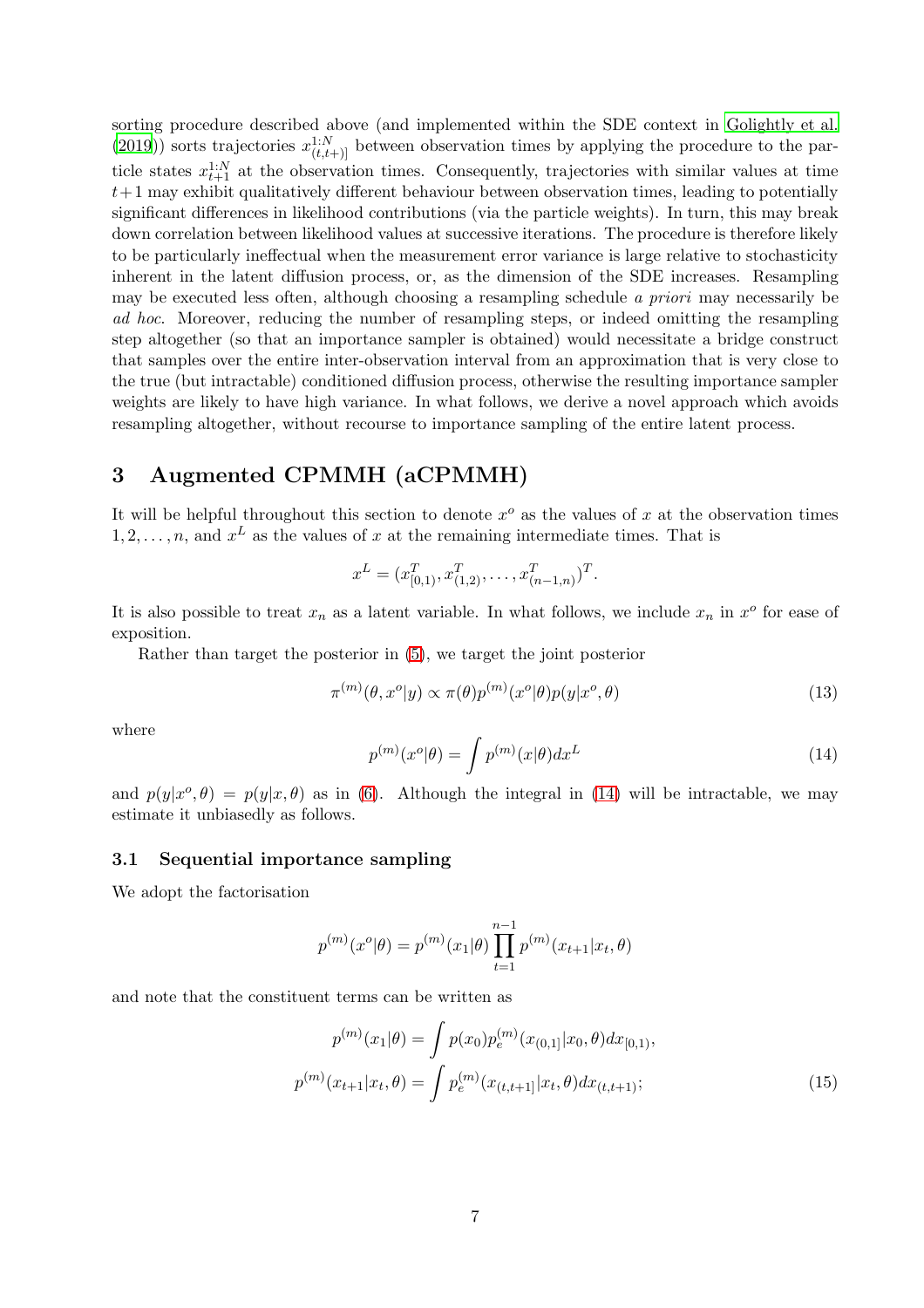sorting procedure described above (and implemented within the SDE context in [Golightly et al.](#page-24-7) [\(2019](#page-24-7))) sorts trajectories  $x_{(t,t+1)}^{1:N}$  between observation times by applying the procedure to the particle states  $x_{t+1}^{1:N}$  at the observation times. Consequently, trajectories with similar values at time  $t+1$  may exhibit qualitatively different behaviour between observation times, leading to potentially significant differences in likelihood contributions (via the particle weights). In turn, this may break down correlation between likelihood values at successive iterations. The procedure is therefore likely to be particularly ineffectual when the measurement error variance is large relative to stochasticity inherent in the latent diffusion process, or, as the dimension of the SDE increases. Resampling may be executed less often, although choosing a resampling schedule a priori may necessarily be ad hoc. Moreover, reducing the number of resampling steps, or indeed omitting the resampling step altogether (so that an importance sampler is obtained) would necessitate a bridge construct that samples over the entire inter-observation interval from an approximation that is very close to the true (but intractable) conditioned diffusion process, otherwise the resulting importance sampler weights are likely to have high variance. In what follows, we derive a novel approach which avoids resampling altogether, without recourse to importance sampling of the entire latent process.

# <span id="page-6-0"></span>3 Augmented CPMMH (aCPMMH)

It will be helpful throughout this section to denote  $x^o$  as the values of x at the observation times  $1, 2, \ldots, n$ , and  $x^L$  as the values of x at the remaining intermediate times. That is

$$
x^{L} = (x_{[0,1)}^{T}, x_{(1,2)}^{T}, \dots, x_{(n-1,n)}^{T})^{T}.
$$

It is also possible to treat  $x_n$  as a latent variable. In what follows, we include  $x_n$  in  $x^o$  for ease of exposition.

Rather than target the posterior in [\(5\)](#page-3-3), we target the joint posterior

<span id="page-6-3"></span>
$$
\pi^{(m)}(\theta, x^o | y) \propto \pi(\theta) p^{(m)}(x^o | \theta) p(y | x^o, \theta)
$$
\n(13)

where

<span id="page-6-1"></span>
$$
p^{(m)}(x^o|\theta) = \int p^{(m)}(x|\theta)dx^L
$$
\n(14)

and  $p(y|x^{\circ},\theta) = p(y|x,\theta)$  as in [\(6\)](#page-3-4). Although the integral in [\(14\)](#page-6-1) will be intractable, we may estimate it unbiasedly as follows.

# 3.1 Sequential importance sampling

We adopt the factorisation

<span id="page-6-2"></span>
$$
p^{(m)}(x^o|\theta) = p^{(m)}(x_1|\theta) \prod_{t=1}^{n-1} p^{(m)}(x_{t+1}|x_t, \theta)
$$

and note that the constituent terms can be written as

$$
p^{(m)}(x_1|\theta) = \int p(x_0)p_e^{(m)}(x_{(0,1]}|x_0, \theta)dx_{[0,1)},
$$
  

$$
p^{(m)}(x_{t+1}|x_t, \theta) = \int p_e^{(m)}(x_{(t,t+1]}|x_t, \theta)dx_{(t,t+1)};
$$
 (15)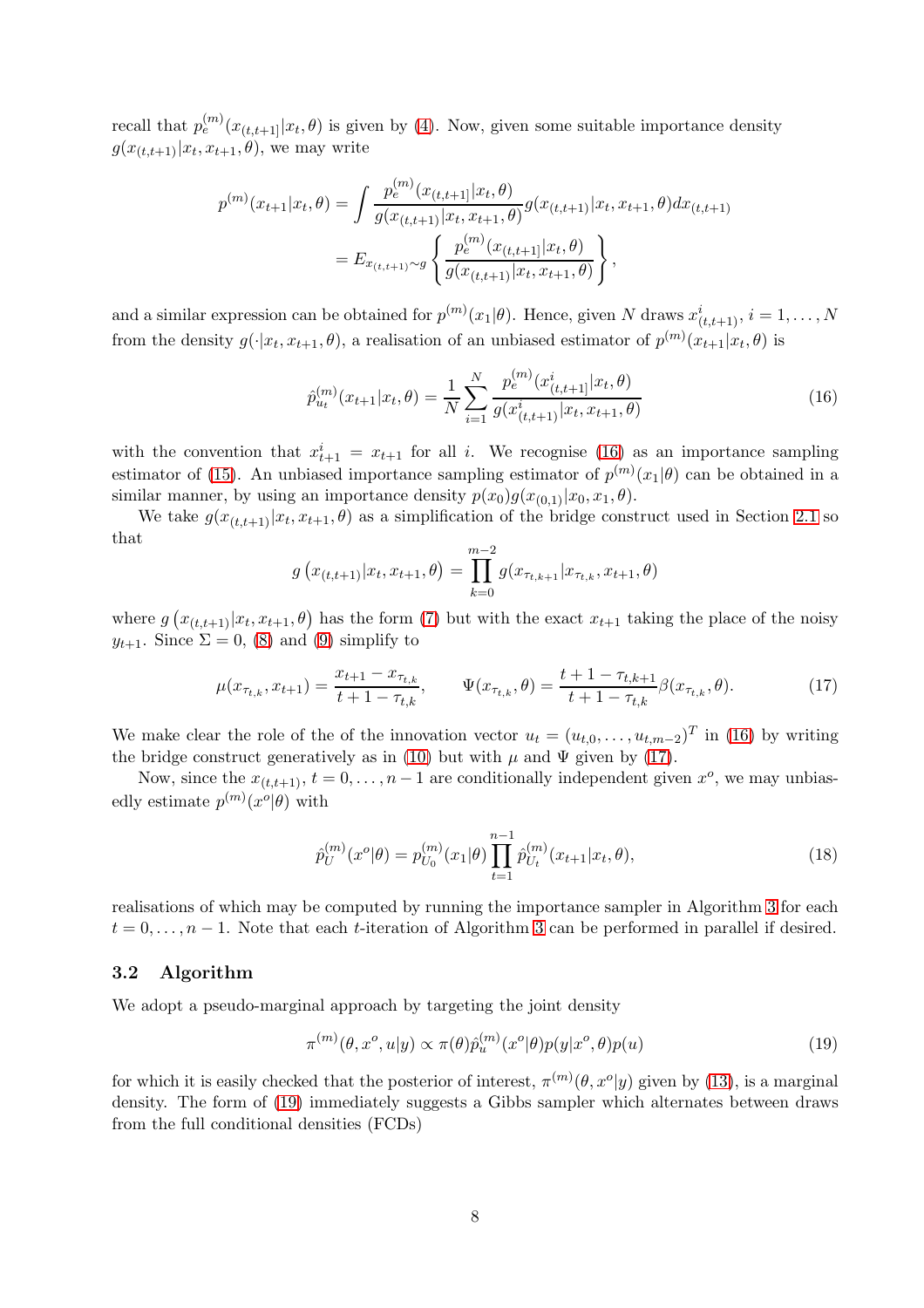recall that  $p_e^{(m)}(x_{(t,t+1]}|x_t, \theta)$  is given by [\(4\)](#page-2-2). Now, given some suitable importance density  $g(x_{(t,t+1)}|x_t, x_{t+1}, \theta)$ , we may write

$$
p^{(m)}(x_{t+1}|x_t, \theta) = \int \frac{p_e^{(m)}(x_{(t,t+1)}|x_t, \theta)}{g(x_{(t,t+1)}|x_t, x_{t+1}, \theta)} g(x_{(t,t+1)}|x_t, x_{t+1}, \theta) dx_{(t,t+1)}
$$
  
= 
$$
E_{x_{(t,t+1)} \sim g} \left\{ \frac{p_e^{(m)}(x_{(t,t+1)}|x_t, \theta)}{g(x_{(t,t+1)}|x_t, x_{t+1}, \theta)} \right\},
$$

and a similar expression can be obtained for  $p^{(m)}(x_1|\theta)$ . Hence, given N draws  $x_{(t,t+1)}^i$ ,  $i = 1, ..., N$ from the density  $g(\cdot|x_t, x_{t+1}, \theta)$ , a realisation of an unbiased estimator of  $p^{(m)}(x_{t+1}|x_t, \theta)$  is

<span id="page-7-0"></span>
$$
\hat{p}_{u_t}^{(m)}(x_{t+1}|x_t, \theta) = \frac{1}{N} \sum_{i=1}^{N} \frac{p_e^{(m)}(x_{(t,t+1)}^i|x_t, \theta)}{g(x_{(t,t+1)}^i|x_t, x_{t+1}, \theta)}
$$
(16)

with the convention that  $x_{t+1}^i = x_{t+1}$  for all i. We recognise [\(16\)](#page-7-0) as an importance sampling estimator of [\(15\)](#page-6-2). An unbiased importance sampling estimator of  $p^{(m)}(x_1|\theta)$  can be obtained in a similar manner, by using an importance density  $p(x_0)g(x_{(0,1)}|x_0, x_1, \theta)$ .

We take  $g(x_{(t,t+1)}|x_t, x_{t+1}, \theta)$  as a simplification of the bridge construct used in Section [2.1](#page-3-5) so that

$$
g(x_{(t,t+1)}|x_t, x_{t+1}, \theta) = \prod_{k=0}^{m-2} g(x_{\tau_{t,k+1}}|x_{\tau_{t,k}}, x_{t+1}, \theta)
$$

where  $g(x_{(t,t+1)}|x_t, x_{t+1}, \theta)$  has the form [\(7\)](#page-3-0) but with the exact  $x_{t+1}$  taking the place of the noisy  $y_{t+1}$ . Since  $\Sigma = 0$ , [\(8\)](#page-3-1) and [\(9\)](#page-3-2) simplify to

$$
\mu(x_{\tau_{t,k}}, x_{t+1}) = \frac{x_{t+1} - x_{\tau_{t,k}}}{t+1 - \tau_{t,k}}, \qquad \Psi(x_{\tau_{t,k}}, \theta) = \frac{t+1 - \tau_{t,k+1}}{t+1 - \tau_{t,k}} \beta(x_{\tau_{t,k}}, \theta). \tag{17}
$$

We make clear the role of the of the innovation vector  $u_t = (u_{t,0}, \ldots, u_{t,m-2})^T$  in [\(16\)](#page-7-0) by writing the bridge construct generatively as in [\(10\)](#page-3-6) but with  $\mu$  and  $\Psi$  given by [\(17\)](#page-7-1).

Now, since the  $x_{(t,t+1)}$ ,  $t = 0, \ldots, n-1$  are conditionally independent given  $x^o$ , we may unbiasedly estimate  $p^{(m)}(x^o|\theta)$  with

<span id="page-7-4"></span><span id="page-7-1"></span>
$$
\hat{p}_U^{(m)}(x^o|\theta) = p_{U_0}^{(m)}(x_1|\theta) \prod_{t=1}^{n-1} \hat{p}_{U_t}^{(m)}(x_{t+1}|x_t, \theta),\tag{18}
$$

realisations of which may be computed by running the importance sampler in Algorithm [3](#page-8-0) for each  $t = 0, \ldots, n-1$ . Note that each t-iteration of Algorithm [3](#page-8-0) can be performed in parallel if desired.

#### <span id="page-7-3"></span>3.2 Algorithm

We adopt a pseudo-marginal approach by targeting the joint density

<span id="page-7-2"></span>
$$
\pi^{(m)}(\theta, x^o, u|y) \propto \pi(\theta) \hat{p}_u^{(m)}(x^o|\theta) p(y|x^o, \theta) p(u)
$$
\n(19)

for which it is easily checked that the posterior of interest,  $\pi^{(m)}(\theta, x^o|y)$  given by [\(13\)](#page-6-3), is a marginal density. The form of [\(19\)](#page-7-2) immediately suggests a Gibbs sampler which alternates between draws from the full conditional densities (FCDs)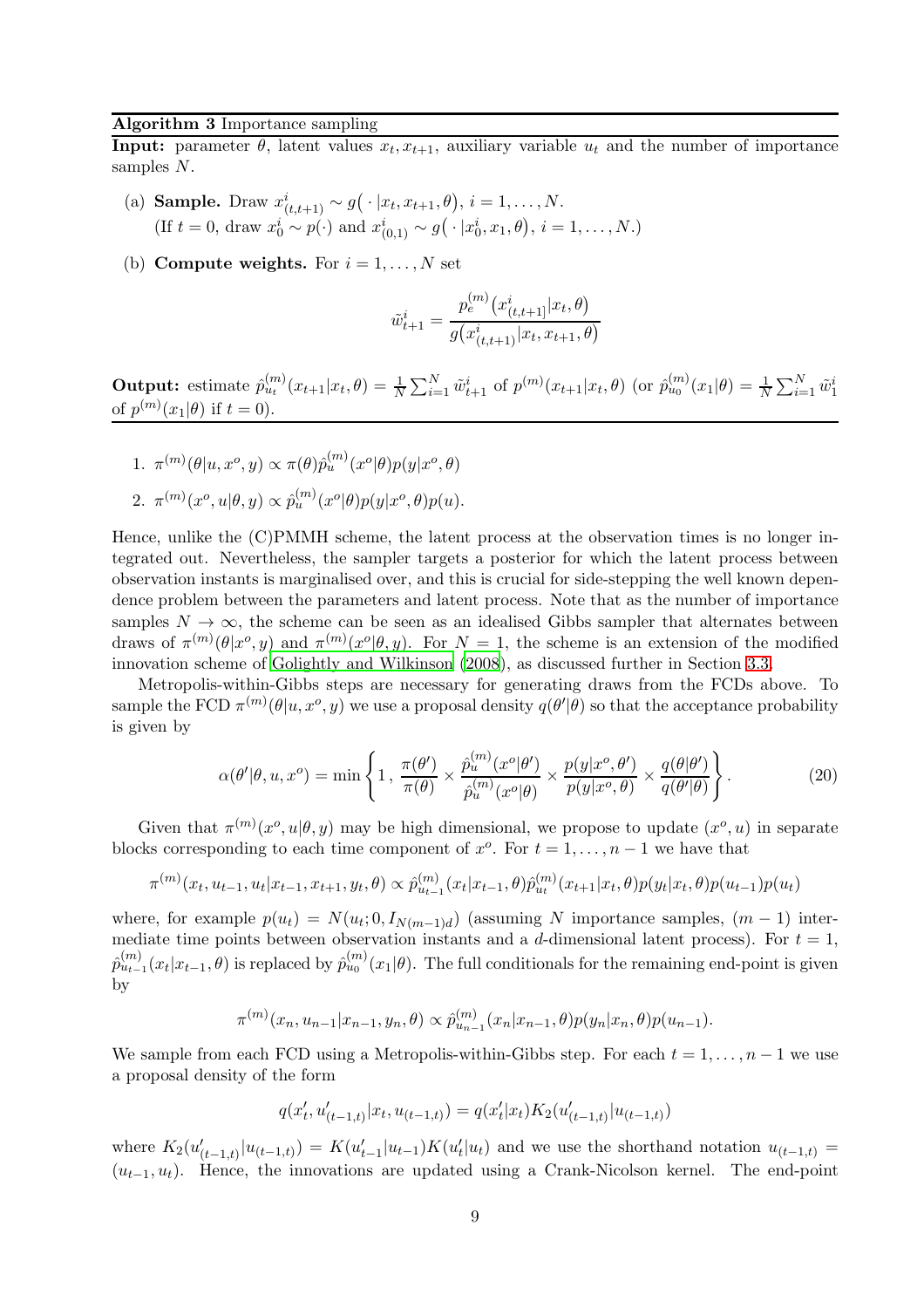### <span id="page-8-0"></span>Algorithm 3 Importance sampling

**Input:** parameter  $\theta$ , latent values  $x_t, x_{t+1}$ , auxiliary variable  $u_t$  and the number of importance samples N.

- (a) **Sample.** Draw  $x_{(t,t+1)}^i \sim g(\cdot | x_t, x_{t+1}, \theta), i = 1, ..., N$ . (If  $t = 0$ , draw  $x_0^i \sim p(\cdot)$  and  $x_{(0,1)}^i \sim g(\cdot | x_0^i, x_1, \theta), i = 1, ..., N$ .)
- (b) Compute weights. For  $i = 1, ..., N$  set

$$
\tilde{w}_{t+1}^i = \frac{p_e^{(m)}(x_{(t,t+1]}^i | x_t, \theta)}{g(x_{(t,t+1)}^i | x_t, x_{t+1}, \theta)}
$$

**Output:** estimate  $\hat{p}_{u_t}^{(m)}(x_{t+1}|x_t, \theta) = \frac{1}{N} \sum_{i=1}^{N} \tilde{w}_{t+1}^i$  of  $p^{(m)}(x_{t+1}|x_t, \theta)$  (or  $\hat{p}_{u_0}^{(m)}(x_1|\theta) = \frac{1}{N} \sum_{i=1}^{N} \tilde{w}_1^i$ of  $p^{(m)}(x_1|\theta)$  if  $t = 0$ ).

1. 
$$
\pi^{(m)}(\theta|u, x^o, y) \propto \pi(\theta)\hat{p}_u^{(m)}(x^o|\theta)p(y|x^o, \theta)
$$
  
2. 
$$
\pi^{(m)}(x^o, u|\theta, y) \propto \hat{p}_u^{(m)}(x^o|\theta)p(y|x^o, \theta)p(u).
$$

Hence, unlike the (C)PMMH scheme, the latent process at the observation times is no longer integrated out. Nevertheless, the sampler targets a posterior for which the latent process between observation instants is marginalised over, and this is crucial for side-stepping the well known dependence problem between the parameters and latent process. Note that as the number of importance samples  $N \to \infty$ , the scheme can be seen as an idealised Gibbs sampler that alternates between draws of  $\pi^{(m)}(\theta|x^o,y)$  and  $\pi^{(m)}(x^o|\theta,y)$ . For  $N=1$ , the scheme is an extension of the modified innovation scheme of [Golightly and Wilkinson \(2008\)](#page-24-4), as discussed further in Section [3.3.](#page-9-0)

Metropolis-within-Gibbs steps are necessary for generating draws from the FCDs above. To sample the FCD  $\pi^{(m)}(\theta|u, x^o, y)$  we use a proposal density  $q(\theta'|\theta)$  so that the acceptance probability is given by

<span id="page-8-1"></span>
$$
\alpha(\theta'|\theta, u, x^o) = \min\left\{1, \frac{\pi(\theta')}{\pi(\theta)} \times \frac{\hat{p}_u^{(m)}(x^o|\theta')}{\hat{p}_u^{(m)}(x^o|\theta)} \times \frac{p(y|x^o, \theta')}{p(y|x^o, \theta)} \times \frac{q(\theta|\theta')}{q(\theta'|\theta)}\right\}.
$$
(20)

Given that  $\pi^{(m)}(x^o, u | \theta, y)$  may be high dimensional, we propose to update  $(x^o, u)$  in separate blocks corresponding to each time component of  $x^o$ . For  $t = 1, \ldots, n-1$  we have that

$$
\pi^{(m)}(x_t, u_{t-1}, u_t | x_{t-1}, x_{t+1}, y_t, \theta) \propto \hat{p}_{u_{t-1}}^{(m)}(x_t | x_{t-1}, \theta) \hat{p}_{u_t}^{(m)}(x_{t+1} | x_t, \theta) p(y_t | x_t, \theta) p(u_{t-1}) p(u_t)
$$

where, for example  $p(u_t) = N(u_t; 0, I_{N(m-1)d})$  (assuming N importance samples,  $(m-1)$  intermediate time points between observation instants and a d-dimensional latent process). For  $t = 1$ ,  $\hat{p}_{u_{t-1}}^{(m)}(x_t|x_{t-1},\theta)$  is replaced by  $\hat{p}_{u_0}^{(m)}(x_1|\theta)$ . The full conditionals for the remaining end-point is given by

$$
\pi^{(m)}(x_n, u_{n-1}|x_{n-1}, y_n, \theta) \propto \hat{p}_{u_{n-1}}^{(m)}(x_n|x_{n-1}, \theta) p(y_n|x_n, \theta) p(u_{n-1}).
$$

We sample from each FCD using a Metropolis-within-Gibbs step. For each  $t = 1, \ldots, n-1$  we use a proposal density of the form

$$
q(x'_t,u'_{(t-1,t)}|x_t,u_{(t-1,t)}) = q(x'_t|x_t)K_2(u'_{(t-1,t)}|u_{(t-1,t)})
$$

where  $K_2(u'_{(t-1,t)}|u_{(t-1,t)}) = K(u'_{t-1}|u_{t-1})K(u'_{t-1})$  $u_t^{\prime}(u_t)$  and we use the shorthand notation  $u_{(t-1,t)} =$  $(u_{t-1}, u_t)$ . Hence, the innovations are updated using a Crank-Nicolson kernel. The end-point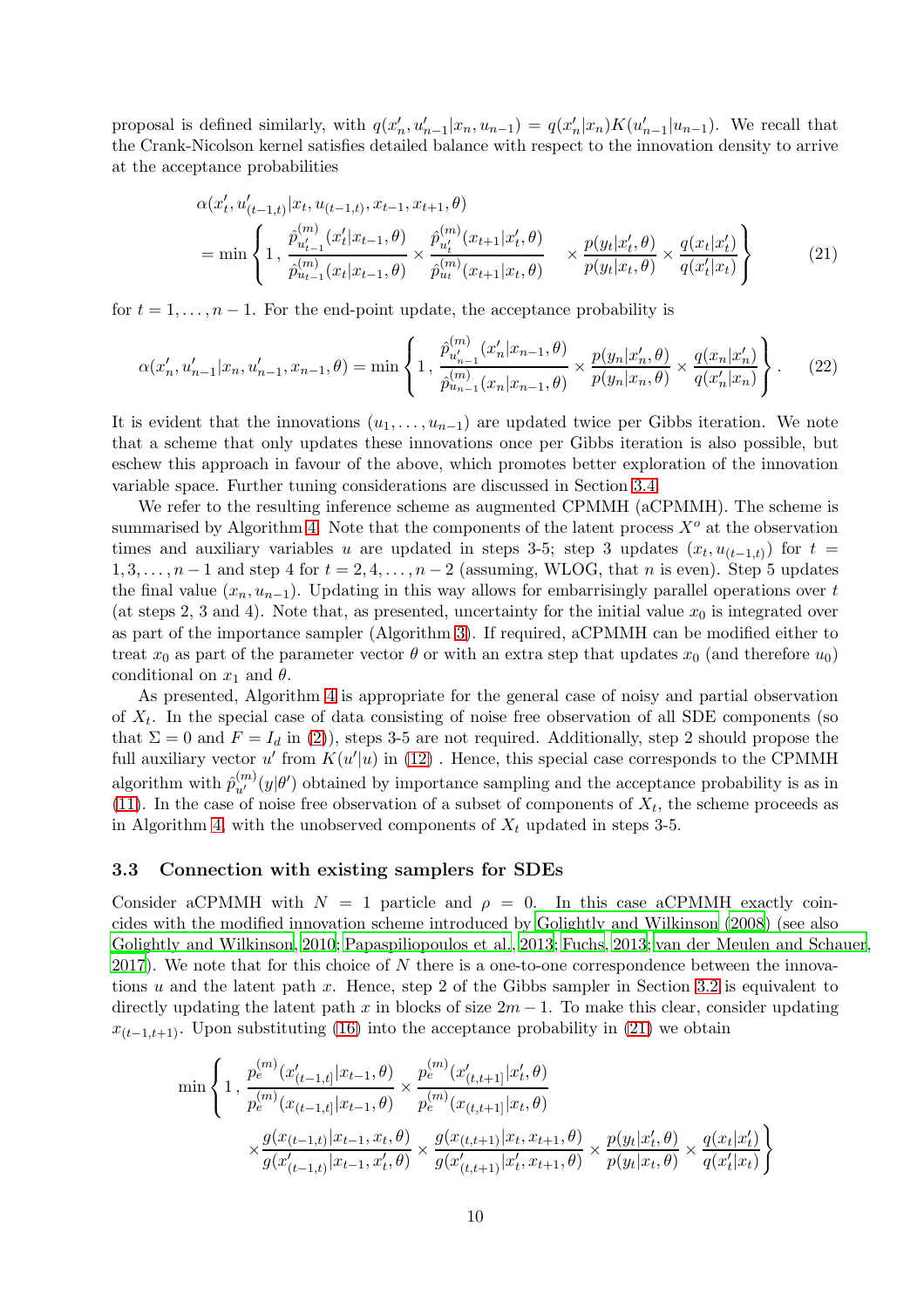proposal is defined similarly, with  $q(x'_i)$  $u'_n, u'_{n-1}|x_n, u_{n-1}\rangle = q(x'_n)$  $\binom{n}{n}$  $K(u'_{n-1}|u_{n-1})$ . We recall that the Crank-Nicolson kernel satisfies detailed balance with respect to the innovation density to arrive at the acceptance probabilities

<span id="page-9-2"></span><span id="page-9-1"></span>
$$
\alpha(x'_t, u'_{(t-1,t)} | x_t, u_{(t-1,t)}, x_{t-1}, x_{t+1}, \theta)
$$
\n
$$
= \min \left\{ 1, \frac{\hat{p}_{u'_{t-1}}^{(m)}(x'_t | x_{t-1}, \theta)}{\hat{p}_{u_{t-1}}^{(m)}(x_t | x_{t-1}, \theta)} \times \frac{\hat{p}_{u'_t}^{(m)}(x_{t+1} | x'_t, \theta)}{\hat{p}_{u_t}^{(m)}(x_{t+1} | x_t, \theta)} \right\} \times \frac{p(y_t | x'_t, \theta)}{p(y_t | x_t, \theta)} \times \frac{q(x_t | x'_t)}{q(x'_t | x_t)} \right\}
$$
\n(21)

for  $t = 1, \ldots, n - 1$ . For the end-point update, the acceptance probability is

$$
\alpha(x'_n, u'_{n-1}|x_n, u'_{n-1}, x_{n-1}, \theta) = \min\left\{1, \frac{\hat{p}_{u'_{n-1}}^{(m)}(x'_n|x_{n-1}, \theta)}{\hat{p}_{u_{n-1}}^{(m)}(x_n|x_{n-1}, \theta)} \times \frac{p(y_n|x'_n, \theta)}{p(y_n|x_n, \theta)} \times \frac{q(x_n|x'_n)}{q(x'_n|x_n)}\right\}.
$$
(22)

It is evident that the innovations  $(u_1, \ldots, u_{n-1})$  are updated twice per Gibbs iteration. We note that a scheme that only updates these innovations once per Gibbs iteration is also possible, but eschew this approach in favour of the above, which promotes better exploration of the innovation variable space. Further tuning considerations are discussed in Section [3.4.](#page-11-0)

We refer to the resulting inference scheme as augmented CPMMH (aCPMMH). The scheme is summarised by Algorithm [4.](#page-10-0) Note that the components of the latent process  $X^o$  at the observation times and auxiliary variables u are updated in steps 3-5; step 3 updates  $(x_t, u_{(t-1,t)})$  for  $t =$  $1, 3, \ldots, n-1$  and step 4 for  $t = 2, 4, \ldots, n-2$  (assuming, WLOG, that n is even). Step 5 updates the final value  $(x_n, u_{n-1})$ . Updating in this way allows for embarrisingly parallel operations over t (at steps 2, 3 and 4). Note that, as presented, uncertainty for the initial value  $x_0$  is integrated over as part of the importance sampler (Algorithm [3\)](#page-8-0). If required, aCPMMH can be modified either to treat  $x_0$  as part of the parameter vector  $\theta$  or with an extra step that updates  $x_0$  (and therefore  $u_0$ ) conditional on  $x_1$  and  $\theta$ .

As presented, Algorithm [4](#page-10-0) is appropriate for the general case of noisy and partial observation of  $X_t$ . In the special case of data consisting of noise free observation of all SDE components (so that  $\Sigma = 0$  and  $F = I_d$  in [\(2\)](#page-2-3)), steps 3-5 are not required. Additionally, step 2 should propose the full auxiliary vector  $u'$  from  $K(u'|u)$  in [\(12\)](#page-5-0). Hence, this special case corresponds to the CPMMH algorithm with  $\hat{p}_{u'}^{(m)}(y|\theta')$  obtained by importance sampling and the acceptance probability is as in [\(11\)](#page-4-1). In the case of noise free observation of a subset of components of  $X_t$ , the scheme proceeds as in Algorithm [4,](#page-10-0) with the unobserved components of  $X_t$  updated in steps 3-5.

#### <span id="page-9-0"></span>3.3 Connection with existing samplers for SDEs

Consider aCPMMH with  $N = 1$  particle and  $\rho = 0$ . In this case aCPMMH exactly coincides with the modified innovation scheme introduced by [Golightly and Wilkinson \(2008](#page-24-4)) (see also [Golightly and Wilkinson](#page-24-10), [2010](#page-24-10); [Papaspiliopoulos et al.](#page-24-5), [2013](#page-24-5); [Fuchs](#page-24-3), [2013](#page-24-3); [van der Meulen and Schauer](#page-25-4),  $2017$ ). We note that for this choice of N there is a one-to-one correspondence between the innova-tions u and the latent path x. Hence, step 2 of the Gibbs sampler in Section [3.2](#page-7-3) is equivalent to directly updating the latent path x in blocks of size  $2m - 1$ . To make this clear, consider updating  $x_{(t-1,t+1)}$ . Upon substituting [\(16\)](#page-7-0) into the acceptance probability in [\(21\)](#page-9-1) we obtain

$$
\min \left\{ 1, \frac{p_e^{(m)}(x'_{(t-1,t]}|x_{t-1}, \theta)}{p_e^{(m)}(x_{(t-1,t]}|x_{t-1}, \theta)} \times \frac{p_e^{(m)}(x'_{(t,t+1]}|x'_t, \theta)}{p_e^{(m)}(x_{(t,t+1]}|x_t, \theta)} \right\}
$$
\n
$$
\times \frac{g(x_{(t-1,t)}|x_{t-1}, x_t, \theta)}{g(x'_{(t-1,t)}|x_{t-1}, x'_t, \theta)} \times \frac{g(x_{(t,t+1)}|x_t, x_{t+1}, \theta)}{g(x'_{(t,t+1)}|x'_t, x_{t+1}, \theta)} \times \frac{p(y_t|x'_t, \theta)}{p(y_t|x_t, \theta)} \times \frac{q(x_t|x'_t)}{q(x'_t|x_t)} \right\}
$$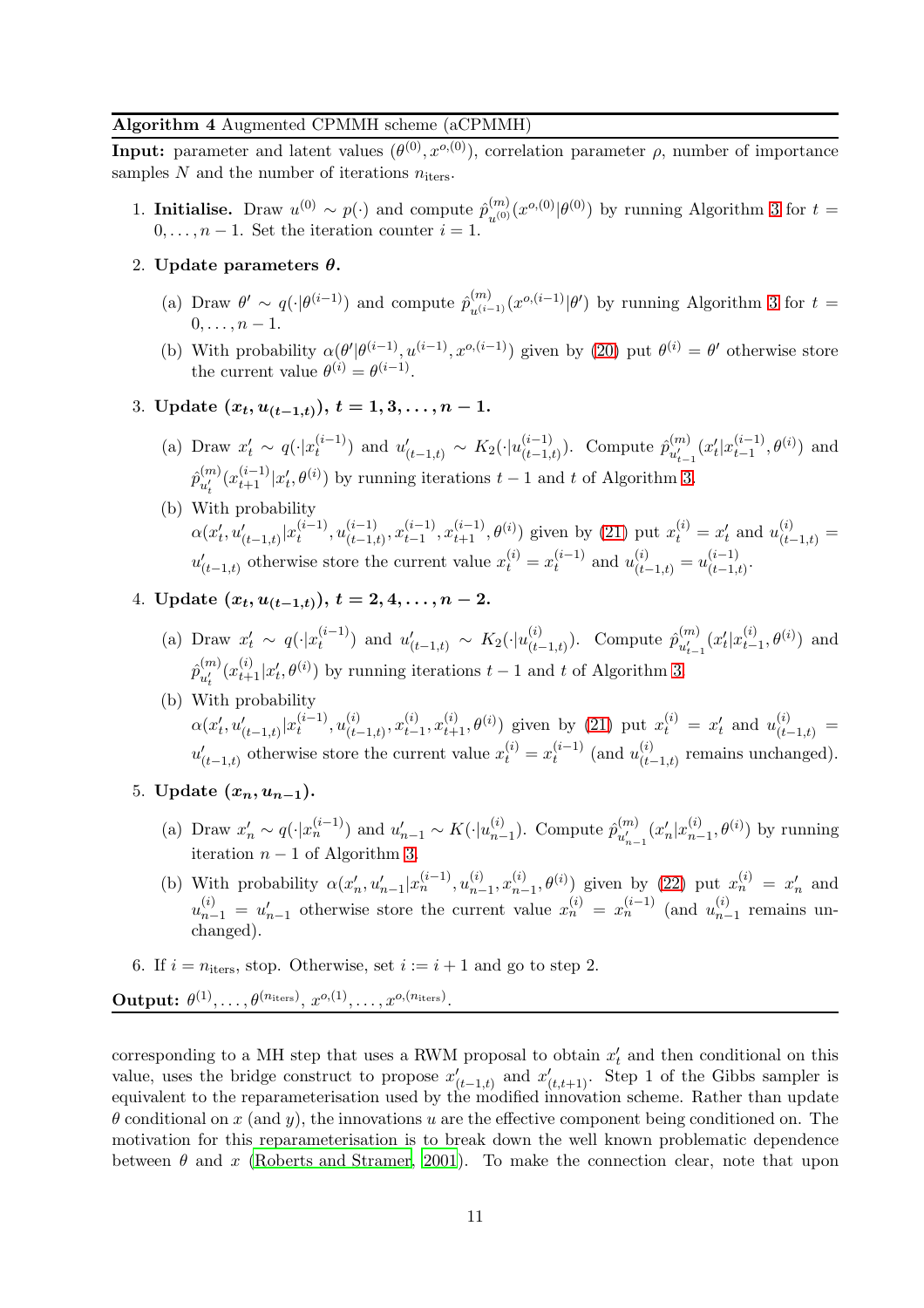# <span id="page-10-0"></span>Algorithm 4 Augmented CPMMH scheme (aCPMMH)

**Input:** parameter and latent values  $(\theta^{(0)}, x^{o,(0)})$ , correlation parameter  $\rho$ , number of importance samples  $N$  and the number of iterations  $n_{\text{iters}}$ .

- 1. **Initialise.** Draw  $u^{(0)} \sim p(\cdot)$  and compute  $\hat{p}_{u^{(0)}}^{(m)}(x^{o,(0)}|\theta^{(0)})$  by running Algorithm [3](#page-8-0) for  $t =$  $0, \ldots, n-1$ . Set the iteration counter  $i = 1$ .
- 2. Update parameters  $\theta$ .
	- (a) Draw  $\theta' \sim q(\cdot|\theta^{(i-1)})$  and compute  $\hat{p}_{u^{(i-1)}}^{(m)}(x^{o,(i-1)}|\theta')$  by running Algorithm [3](#page-8-0) for  $t =$  $0, \ldots, n-1$ <sup>.</sup>
	- (b) With probability  $\alpha(\theta'|\theta^{(i-1)}, u^{(i-1)}, x^{o,(i-1)})$  given by [\(20\)](#page-8-1) put  $\theta^{(i)} = \theta'$  otherwise store the current value  $\theta^{(i)} = \theta^{(i-1)}$ .
- 3. Update  $(x_t, u_{(t-1,t)})$ ,  $t = 1, 3, \ldots, n-1$ .
	- (a) Draw  $x'_t \sim q(\cdot | x_t^{(i-1)})$  $t_i^{(i-1)}$ ) and  $u'_{(t-1,t)} \sim K_2(\cdot | u_{(t-1,t)}^{(i-1)})$  $\binom{(i-1)}{(t-1,t)}$ . Compute  $\hat{p}_{u'_{t-}}^{(m)}$  $\binom{m}{u'_{t-1}}(x'_t$  $t^{(i-1)}_{t-1}$  $_{t-1}^{(i-1)}, \theta^{(i)})$  and  $\hat{p}^{(m)}_{u'}$  $\binom{m}{u'_t} \left(x_{t+1}^{(i-1)}\right) x'_t$  $(t, \theta^{(i)})$  by running iterations  $t - 1$  and t of Algorithm [3.](#page-8-0)
	- (b) With probability  $\alpha(x'_t)$  $\sum_{t}^{'} \sum_{t'}^{'} \sum_{t=1,t}^{i-1} |x_t^{(i-1)}|$  $\mu_{t}^{(i-1)}, \mu_{(t-1,i)}^{(i-1)}$  $\binom{(i-1)}{(t-1,t)}, x_{t-1}^{(i-1)}$  $(t-1), x_{t+1}^{(i-1)}, \theta^{(i)}$  given by [\(21\)](#page-9-1) put  $x_t^{(i)} = x_t'$  $u_{(t-1,t)}^{(i)} =$  $u'_{(t-1,t)}$  otherwise store the current value  $x_t^{(i)} = x_t^{(i-1)}$  $u_t^{(i-1)}$  and  $u_{(t-1,t)}^{(i)} = u_{(t-1,t)}^{(i-1)}$  $\frac{(t-1)}{(t-1,t)}$ .
- 4. Update  $(x_t, u_{(t-1,t)})$ ,  $t = 2, 4, \ldots, n-2$ .
	- (a) Draw  $x'_t \sim q(\cdot | x_t^{(i-1)})$  $\hat{u}_t^{(i-1)}$  and  $u'_{(t-1,t)} \sim K_2(\cdot|u_{(t-1,t)}^{(i)})$ . Compute  $\hat{p}_{u'_{t-1}}^{(m)}$  $\binom{m}{u'_{t-1}}(x'_t$  $t^{'}_{t}|x_{t-1}^{(i)},\theta^{(i)})$  and  $\hat{p}^{(m)}_{n'}$  $\binom{m}{u'_t}(x_{t+1}^{(i)}|x'_t)$  $(t, \theta^{(i)})$  by running iterations  $t - 1$  and t of Algorithm [3.](#page-8-0)
	- (b) With probability  $\alpha(x'_t)$  $\sum_{t}^{'} \sum_{t'}^{i} |x_t^{(i-1)}|$  $(t^{(i-1)}_t, u^{(i)}_{(t-1,t)}, x^{(i)}_{t-1}, x^{(i)}_{t+1}, \theta^{(i)})$  given by [\(21\)](#page-9-1) put  $x^{(i)}_t = x'_t$  and  $u^{(i)}_{(t-1,t)} =$  $u'_{(t-1,t)}$  otherwise store the current value  $x_t^{(i)} = x_t^{(i-1)}$  $t_t^{(i-1)}$  (and  $u_{(t-1,t)}^{(i)}$  remains unchanged).
- 5. Update  $(x_n, u_{n-1})$ .
	- (a) Draw  $x'_n \sim q(\cdot | x_n^{(i-1)})$  and  $u'_{n-1} \sim K(\cdot | u_{n-1}^{(i)})$ . Compute  $\hat{p}_{u'_{n-1}}^{(m)}$  $\binom{m}{u'_{n-1}}(x'_n)$  $\mathcal{L}_n(x_{n-1}^{(i)}, \theta^{(i)})$  by running iteration  $n - 1$  of Algorithm [3.](#page-8-0)
	- (b) With probability  $\alpha(x'_i)$  $x'_n, u'_{n-1}|x_n^{(i-1)}, u_{n-1}^{(i)}, x_{n-1}^{(i)}, \theta^{(i)})$  given by [\(22\)](#page-9-2) put  $x_n^{(i)} = x'_n$  $_n'$  and  $u_{n-1}^{(i)} = u'_{n-1}$  otherwise store the current value  $x_n^{(i)} = x_n^{(i-1)}$  (and  $u_{n-1}^{(i)}$  remains unchanged).
- 6. If  $i = n_{\text{iters}}$ , stop. Otherwise, set  $i := i + 1$  and go to step 2.

 $\textbf{Output:} \,\, \theta^{(1)}, \ldots, \theta^{(n_{\text{iters}})}, \, x^{o,(1)}, \ldots, x^{o,(n_{\text{iters}})}.$ 

corresponding to a MH step that uses a RWM proposal to obtain  $x_t'$  $t<sub>t</sub>$  and then conditional on this value, uses the bridge construct to propose  $x'_{(t-1,t)}$  and  $x'_{(t,t+1)}$ . Step 1 of the Gibbs sampler is equivalent to the reparameterisation used by the modified innovation scheme. Rather than update  $\theta$  conditional on x (and y), the innovations u are the effective component being conditioned on. The motivation for this reparameterisation is to break down the well known problematic dependence between  $\theta$  and x [\(Roberts and Stramer, 2001](#page-25-3)). To make the connection clear, note that upon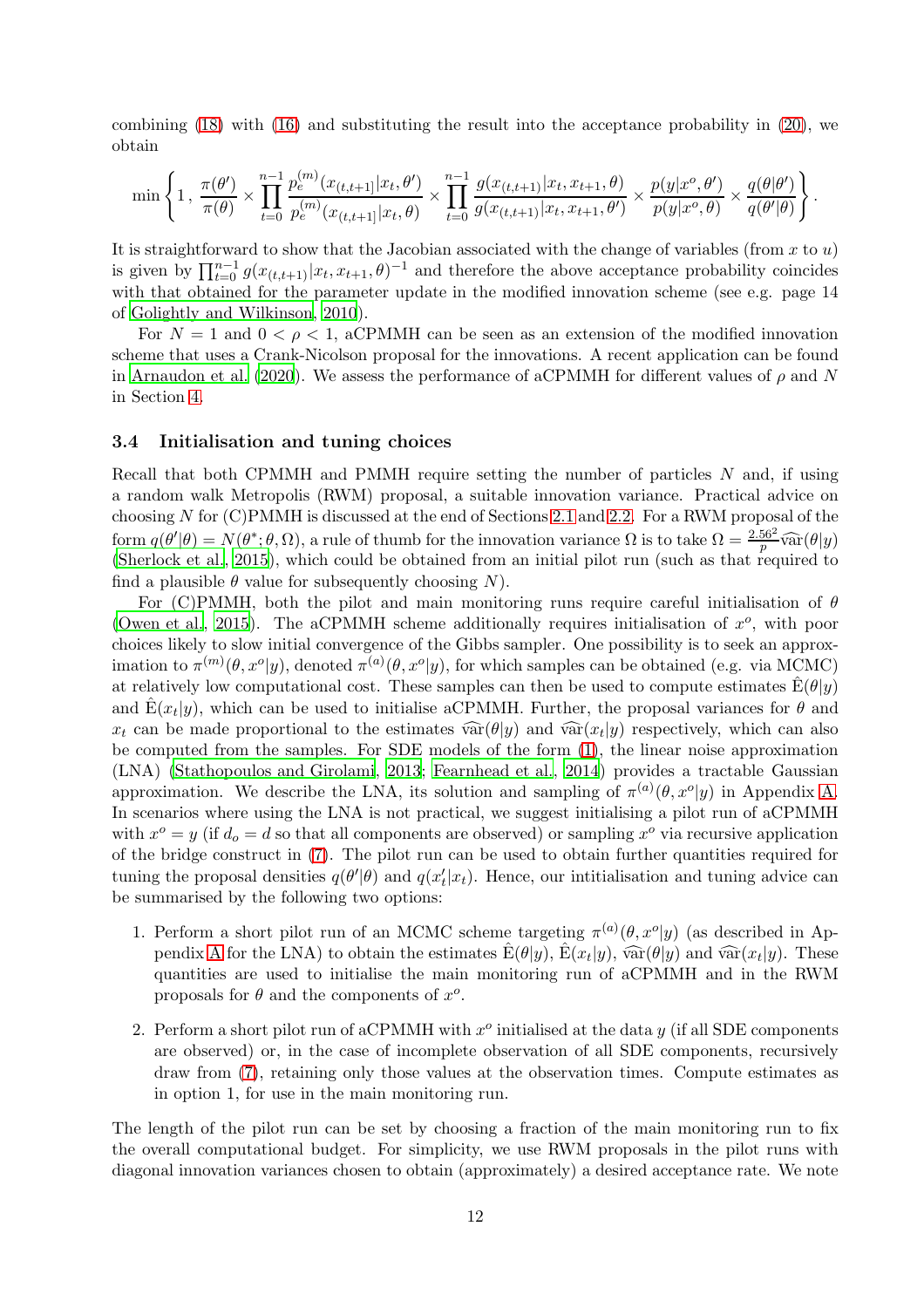combining [\(18\)](#page-7-4) with [\(16\)](#page-7-0) and substituting the result into the acceptance probability in [\(20\)](#page-8-1), we obtain

$$
\min\left\{1\,,\,\frac{\pi(\theta')}{\pi(\theta)}\times\prod_{t=0}^{n-1}\frac{p_e^{(m)}(x_{(t,t+1)}|x_t,\theta')}{p_e^{(m)}(x_{(t,t+1)}|x_t,\theta)}\times\prod_{t=0}^{n-1}\frac{g(x_{(t,t+1)}|x_t,x_{t+1},\theta)}{g(x_{(t,t+1)}|x_t,x_{t+1},\theta')}\times\frac{p(y|x^o,\theta')}{p(y|x^o,\theta)}\times\frac{q(\theta|\theta')}{q(\theta'|\theta)}\right\}.
$$

It is straightforward to show that the Jacobian associated with the change of variables (from  $x$  to  $u$ ) is given by  $\prod_{t=0}^{n-1} g(x_{(t,t+1)}|x_t, x_{t+1}, \theta)^{-1}$  and therefore the above acceptance probability coincides with that obtained for the parameter update in the modified innovation scheme (see e.g. page 14) of [Golightly and Wilkinson](#page-24-10), [2010](#page-24-10)).

For  $N = 1$  and  $0 < \rho < 1$ , aCPMMH can be seen as an extension of the modified innovation scheme that uses a Crank-Nicolson proposal for the innovations. A recent application can be found in [Arnaudon et al. \(2020](#page-23-7)). We assess the performance of aCPMMH for different values of  $\rho$  and N in Section [4.](#page-12-0)

#### <span id="page-11-0"></span>3.4 Initialisation and tuning choices

Recall that both CPMMH and PMMH require setting the number of particles N and, if using a random walk Metropolis (RWM) proposal, a suitable innovation variance. Practical advice on choosing N for (C)PMMH is discussed at the end of Sections [2.1](#page-3-5) and [2.2.](#page-4-2) For a RWM proposal of the form  $q(\theta'|\theta) = N(\theta^*, \theta, \Omega)$ , a rule of thumb for the innovation variance  $\Omega$  is to take  $\Omega = \frac{2.56^2}{p} \widehat{\text{var}}(\theta|y)$ <br>[\(Sherlock et al.](#page-25-10), [2015\)](#page-25-10), which could be obtained from an initial pilot run (such as that required to find a plausible  $\theta$  value for subsequently choosing N).

For (C)PMMH, both the pilot and main monitoring runs require careful initialisation of  $\theta$ [\(Owen et al.](#page-24-11), [2015](#page-24-11)). The aCPMMH scheme additionally requires initialisation of  $x^o$ , with poor choices likely to slow initial convergence of the Gibbs sampler. One possibility is to seek an approximation to  $\pi^{(m)}(\theta, x^o | y)$ , denoted  $\pi^{(a)}(\theta, x^o | y)$ , for which samples can be obtained (e.g. via MCMC) at relatively low computational cost. These samples can then be used to compute estimates  $\hat{E}(\theta|y)$ and  $\hat{E}(x_t|y)$ , which can be used to initialise aCPMMH. Further, the proposal variances for  $\theta$  and  $x_t$  can be made proportional to the estimates  $\widehat{\text{var}}(\theta|y)$  and  $\widehat{\text{var}}(x_t|y)$  respectively, which can also be computed from the samples. For SDE models of the form [\(1\)](#page-2-1), the linear noise approximation (LNA) [\(Stathopoulos and Girolami](#page-25-11), [2013](#page-25-11); [Fearnhead et al.](#page-24-12), [2014\)](#page-24-12) provides a tractable Gaussian approximation. We describe the LNA, its solution and sampling of  $\pi^{(a)}(\theta, x^o|y)$  in Appendix [A.](#page-20-0) In scenarios where using the LNA is not practical, we suggest initialising a pilot run of aCPMMH with  $x^o = y$  (if  $d_o = d$  so that all components are observed) or sampling  $x^o$  via recursive application of the bridge construct in [\(7\)](#page-3-0). The pilot run can be used to obtain further quantities required for tuning the proposal densities  $q(\theta'|\theta)$  and  $q(x'_t)$  $t<sub>t</sub>(x<sub>t</sub>)$ . Hence, our intitialisation and tuning advice can be summarised by the following two options:

- 1. Perform a short pilot run of an MCMC scheme targeting  $\pi^{(a)}(\theta, x^o|y)$  (as described in Ap-pendix [A](#page-20-0) for the LNA) to obtain the estimates  $\hat{E}(\theta|y)$ ,  $\hat{E}(x_t|y)$ ,  $\hat{var}(\theta|y)$  and  $\hat{var}(x_t|y)$ . These quantities are used to initialise the main monitoring run of aCPMMH and in the RWM proposals for  $\theta$  and the components of  $x^o$ .
- 2. Perform a short pilot run of aCPMMH with  $x^o$  initialised at the data  $y$  (if all SDE components are observed) or, in the case of incomplete observation of all SDE components, recursively draw from [\(7\)](#page-3-0), retaining only those values at the observation times. Compute estimates as in option 1, for use in the main monitoring run.

The length of the pilot run can be set by choosing a fraction of the main monitoring run to fix the overall computational budget. For simplicity, we use RWM proposals in the pilot runs with diagonal innovation variances chosen to obtain (approximately) a desired acceptance rate. We note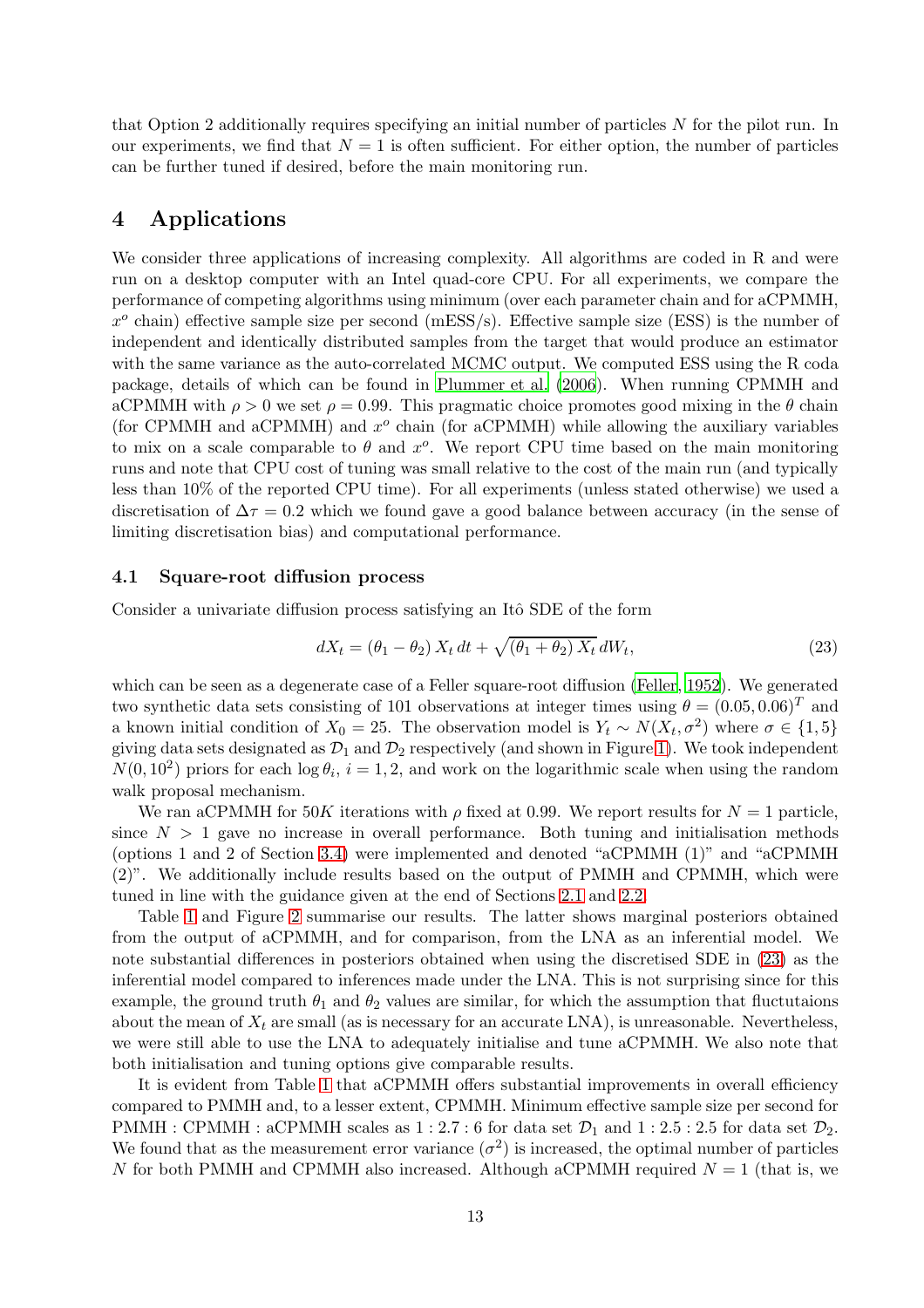that Option 2 additionally requires specifying an initial number of particles N for the pilot run. In our experiments, we find that  $N = 1$  is often sufficient. For either option, the number of particles can be further tuned if desired, before the main monitoring run.

# <span id="page-12-0"></span>4 Applications

We consider three applications of increasing complexity. All algorithms are coded in R and were run on a desktop computer with an Intel quad-core CPU. For all experiments, we compare the performance of competing algorithms using minimum (over each parameter chain and for aCPMMH,  $x^o$  chain) effective sample size per second (mESS/s). Effective sample size (ESS) is the number of independent and identically distributed samples from the target that would produce an estimator with the same variance as the auto-correlated MCMC output. We computed ESS using the R coda package, details of which can be found in [Plummer et al. \(2006\)](#page-25-12). When running CPMMH and aCPMMH with  $\rho > 0$  we set  $\rho = 0.99$ . This pragmatic choice promotes good mixing in the  $\theta$  chain (for CPMMH and aCPMMH) and  $x^o$  chain (for aCPMMH) while allowing the auxiliary variables to mix on a scale comparable to  $\theta$  and  $x^o$ . We report CPU time based on the main monitoring runs and note that CPU cost of tuning was small relative to the cost of the main run (and typically less than 10% of the reported CPU time). For all experiments (unless stated otherwise) we used a discretisation of  $\Delta \tau = 0.2$  which we found gave a good balance between accuracy (in the sense of limiting discretisation bias) and computational performance.

# 4.1 Square-root diffusion process

Consider a univariate diffusion process satisfying an Itô SDE of the form

<span id="page-12-1"></span>
$$
dX_t = \left(\theta_1 - \theta_2\right) X_t dt + \sqrt{\left(\theta_1 + \theta_2\right) X_t} dW_t, \tag{23}
$$

which can be seen as a degenerate case of a Feller square-root diffusion [\(Feller](#page-24-13), [1952\)](#page-24-13). We generated two synthetic data sets consisting of 101 observations at integer times using  $\theta = (0.05, 0.06)^T$  and a known initial condition of  $X_0 = 25$ . The observation model is  $Y_t \sim N(X_t, \sigma^2)$  where  $\sigma \in \{1, 5\}$ giving data sets designated as  $\mathcal{D}_1$  and  $\mathcal{D}_2$  respectively (and shown in Figure [1\)](#page-13-0). We took independent  $N(0, 10^2)$  priors for each  $\log \theta_i$ ,  $i = 1, 2$ , and work on the logarithmic scale when using the random walk proposal mechanism.

We ran aCPMMH for 50K iterations with  $\rho$  fixed at 0.99. We report results for  $N = 1$  particle, since  $N > 1$  gave no increase in overall performance. Both tuning and initialisation methods (options 1 and 2 of Section [3.4\)](#page-11-0) were implemented and denoted "aCPMMH (1)" and "aCPMMH (2)". We additionally include results based on the output of PMMH and CPMMH, which were tuned in line with the guidance given at the end of Sections [2.1](#page-3-5) and [2.2.](#page-4-2)

Table [1](#page-13-1) and Figure [2](#page-14-0) summarise our results. The latter shows marginal posteriors obtained from the output of aCPMMH, and for comparison, from the LNA as an inferential model. We note substantial differences in posteriors obtained when using the discretised SDE in [\(23\)](#page-12-1) as the inferential model compared to inferences made under the LNA. This is not surprising since for this example, the ground truth  $\theta_1$  and  $\theta_2$  values are similar, for which the assumption that fluctutaions about the mean of  $X_t$  are small (as is necessary for an accurate LNA), is unreasonable. Nevertheless, we were still able to use the LNA to adequately initialise and tune aCPMMH. We also note that both initialisation and tuning options give comparable results.

It is evident from Table [1](#page-13-1) that aCPMMH offers substantial improvements in overall efficiency compared to PMMH and, to a lesser extent, CPMMH. Minimum effective sample size per second for PMMH : CPMMH : aCPMMH scales as  $1:2.7:6$  for data set  $\mathcal{D}_1$  and  $1:2.5:2.5$  for data set  $\mathcal{D}_2$ . We found that as the measurement error variance  $(\sigma^2)$  is increased, the optimal number of particles N for both PMMH and CPMMH also increased. Although aCPMMH required  $N = 1$  (that is, we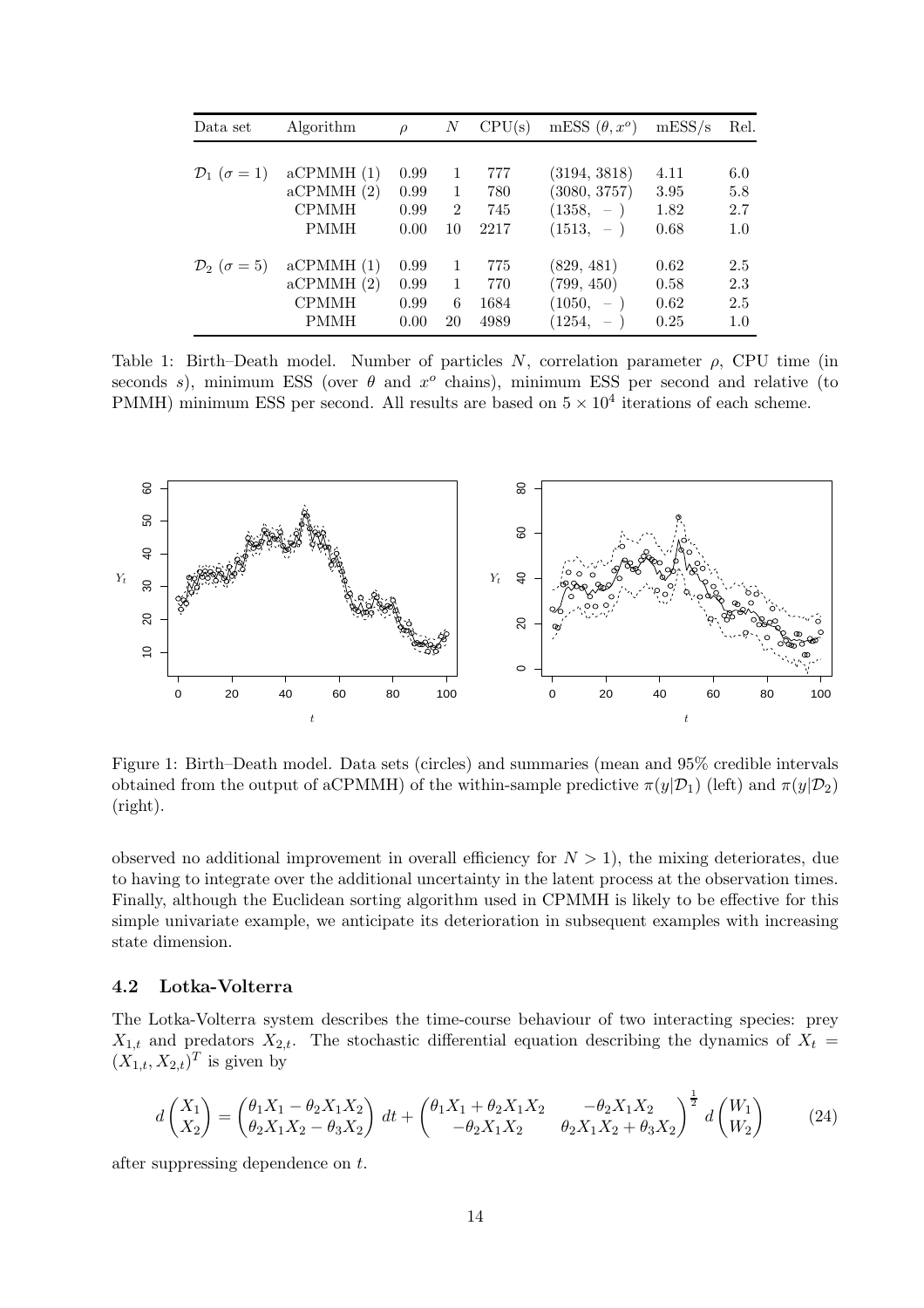| Data set                         | Algorithm    | $\rho$ | $\boldsymbol{N}$                  | CPU(s) | mESS $(\theta, x^{\circ})$ | mESS/s | Rel.    |
|----------------------------------|--------------|--------|-----------------------------------|--------|----------------------------|--------|---------|
|                                  |              |        |                                   |        |                            |        |         |
| $\mathcal{D}_1$ ( $\sigma = 1$ ) | aCPMMH(1)    | 0.99   | $\overline{1}$                    | 777    | (3194, 3818)               | 4.11   | 6.0     |
|                                  | aCPMMH(2)    | 0.99   | $\mathbf{1}$                      | 780    | (3080, 3757)               | 3.95   | $5.8\,$ |
|                                  | <b>CPMMH</b> | 0.99   | $2^{\circ}$                       | 745    | $(1358, -)$                | 1.82   | 2.7     |
|                                  | <b>PMMH</b>  | 0.00   | 10                                | 2217   | $(1513, -)$                | 0.68   | 1.0     |
| $\mathcal{D}_2$ ( $\sigma = 5$ ) | aCPMMH(1)    | 0.99   | $\overline{1}$                    | 775    | (829, 481)                 | 0.62   | 2.5     |
|                                  | aCPMMH(2)    | 0.99   | $\begin{array}{cc} 1 \end{array}$ | 770    | (799, 450)                 | 0.58   | 2.3     |
|                                  | <b>CPMMH</b> | 0.99   | 6                                 | 1684   | $(1050, -)$                | 0.62   | 2.5     |
|                                  | <b>PMMH</b>  | 0.00   | 20                                | 4989   | $(1254, -)$                | 0.25   | 1.0     |

<span id="page-13-1"></span>second  $s$ ), minimum ESS (over  $\theta$  and  $x^o$  chains), minimum ESS per second and relative (to PMM $\mathbb{E}$  minimum ESS per second. All results are based on  $5 \times 10^4$  iterations of each scheme. PSfrag replacements



<span id="page-13-0"></span>Figure 1: Birth–Death model. Data sets (circles) and summaries (mean and 95% credible intervals obtained from the output of aCPMMH) of the within-sample predictive  $\pi(y|\mathcal{D}_1)$  (left) and  $\pi(y|\mathcal{D}_2)$ (right).

observed no additional improvement in overall efficiency for  $N > 1$ ), the mixing deteriorates, due to having to integrate over the additional uncertainty in the latent process at the observation times. Finally, although the Euclidean sorting algorithm used in CPMMH is likely to be effective for this simple univariate example, we anticipate its deterioration in subsequent examples with increasing state dimension.

# <span id="page-13-2"></span>4.2 Lotka-Volterra

The Lotka-Volterra system describes the time-course behaviour of two interacting species: prey  $X_{1,t}$  and predators  $X_{2,t}$ . The stochastic differential equation describing the dynamics of  $X_t =$  $(X_{1,t}, X_{2,t})^T$  is given by

$$
d\begin{pmatrix} X_1 \\ X_2 \end{pmatrix} = \begin{pmatrix} \theta_1 X_1 - \theta_2 X_1 X_2 \\ \theta_2 X_1 X_2 - \theta_3 X_2 \end{pmatrix} dt + \begin{pmatrix} \theta_1 X_1 + \theta_2 X_1 X_2 & -\theta_2 X_1 X_2 \\ -\theta_2 X_1 X_2 & \theta_2 X_1 X_2 + \theta_3 X_2 \end{pmatrix}^{\frac{1}{2}} d\begin{pmatrix} W_1 \\ W_2 \end{pmatrix}
$$
(24)

after suppressing dependence on t.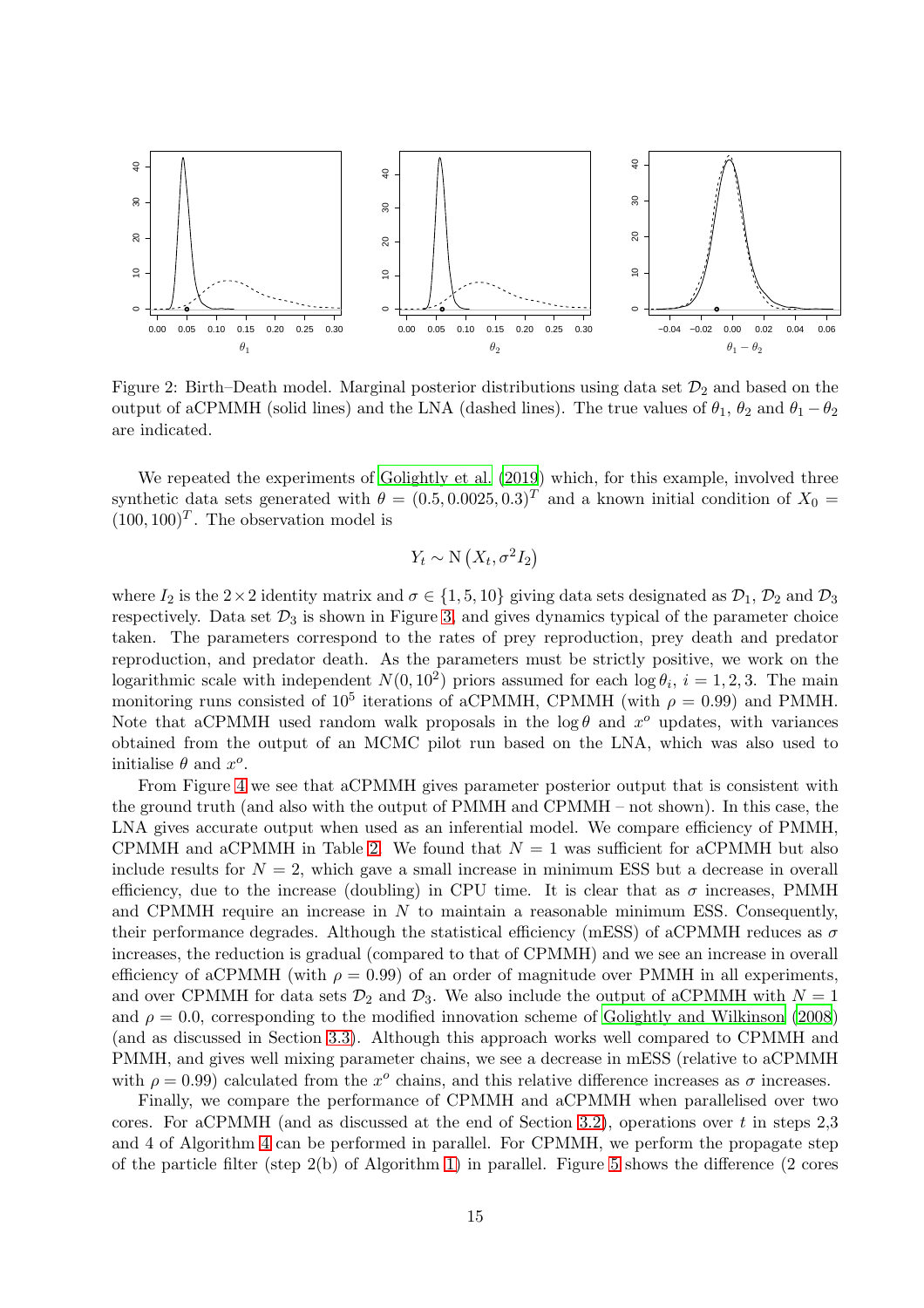

<span id="page-14-0"></span>Figure 2: Birth–Death model. Marginal posterior distributions using data set  $\mathcal{D}_2$  and based on the output of aCPMMH (solid lines) and the LNA (dashed lines). The true values of  $\theta_1$ ,  $\theta_2$  and  $\theta_1 - \theta_2$ are indicated.

We repeated the experiments of [Golightly et al. \(2019\)](#page-24-7) which, for this example, involved three synthetic data sets generated with  $\theta = (0.5, 0.0025, 0.3)^T$  and a known initial condition of  $X_0 =$  $(100, 100)^T$ . The observation model is

$$
Y_t \sim \mathcal{N}\left(X_t, \sigma^2 I_2\right)
$$

where  $I_2$  is the 2×2 identity matrix and  $\sigma \in \{1, 5, 10\}$  giving data sets designated as  $\mathcal{D}_1$ ,  $\mathcal{D}_2$  and  $\mathcal{D}_3$ respectively. Data set  $\mathcal{D}_3$  is shown in Figure [3,](#page-16-0) and gives dynamics typical of the parameter choice taken. The parameters correspond to the rates of prey reproduction, prey death and predator reproduction, and predator death. As the parameters must be strictly positive, we work on the logarithmic scale with independent  $N(0, 10^2)$  priors assumed for each  $\log \theta_i$ ,  $i = 1, 2, 3$ . The main monitoring runs consisted of  $10^5$  iterations of aCPMMH, CPMMH (with  $\rho = 0.99$ ) and PMMH. Note that aCPMMH used random walk proposals in the  $log \theta$  and  $x^{\circ}$  updates, with variances obtained from the output of an MCMC pilot run based on the LNA, which was also used to initialise  $\theta$  and  $x^o$ .

From Figure [4](#page-16-1) we see that aCPMMH gives parameter posterior output that is consistent with the ground truth (and also with the output of PMMH and CPMMH – not shown). In this case, the LNA gives accurate output when used as an inferential model. We compare efficiency of PMMH, CPMMH and aCPMMH in Table [2.](#page-15-0) We found that  $N = 1$  was sufficient for aCPMMH but also include results for  $N = 2$ , which gave a small increase in minimum ESS but a decrease in overall efficiency, due to the increase (doubling) in CPU time. It is clear that as  $\sigma$  increases, PMMH and CPMMH require an increase in N to maintain a reasonable minimum ESS. Consequently, their performance degrades. Although the statistical efficiency (mESS) of aCPMMH reduces as  $\sigma$ increases, the reduction is gradual (compared to that of CPMMH) and we see an increase in overall efficiency of aCPMMH (with  $\rho = 0.99$ ) of an order of magnitude over PMMH in all experiments, and over CPMMH for data sets  $\mathcal{D}_2$  and  $\mathcal{D}_3$ . We also include the output of aCPMMH with  $N = 1$ and  $\rho = 0.0$ , corresponding to the modified innovation scheme of [Golightly and Wilkinson \(2008](#page-24-4)) (and as discussed in Section [3.3\)](#page-9-0). Although this approach works well compared to CPMMH and PMMH, and gives well mixing parameter chains, we see a decrease in mESS (relative to aCPMMH with  $\rho = 0.99$ ) calculated from the  $x^{\circ}$  chains, and this relative difference increases as  $\sigma$  increases.

Finally, we compare the performance of CPMMH and aCPMMH when parallelised over two cores. For aCPMMH (and as discussed at the end of Section [3.2\)](#page-7-3), operations over t in steps  $2,3$ and 4 of Algorithm [4](#page-10-0) can be performed in parallel. For CPMMH, we perform the propagate step of the particle filter (step 2(b) of Algorithm [1\)](#page-4-0) in parallel. Figure [5](#page-17-1) shows the difference (2 cores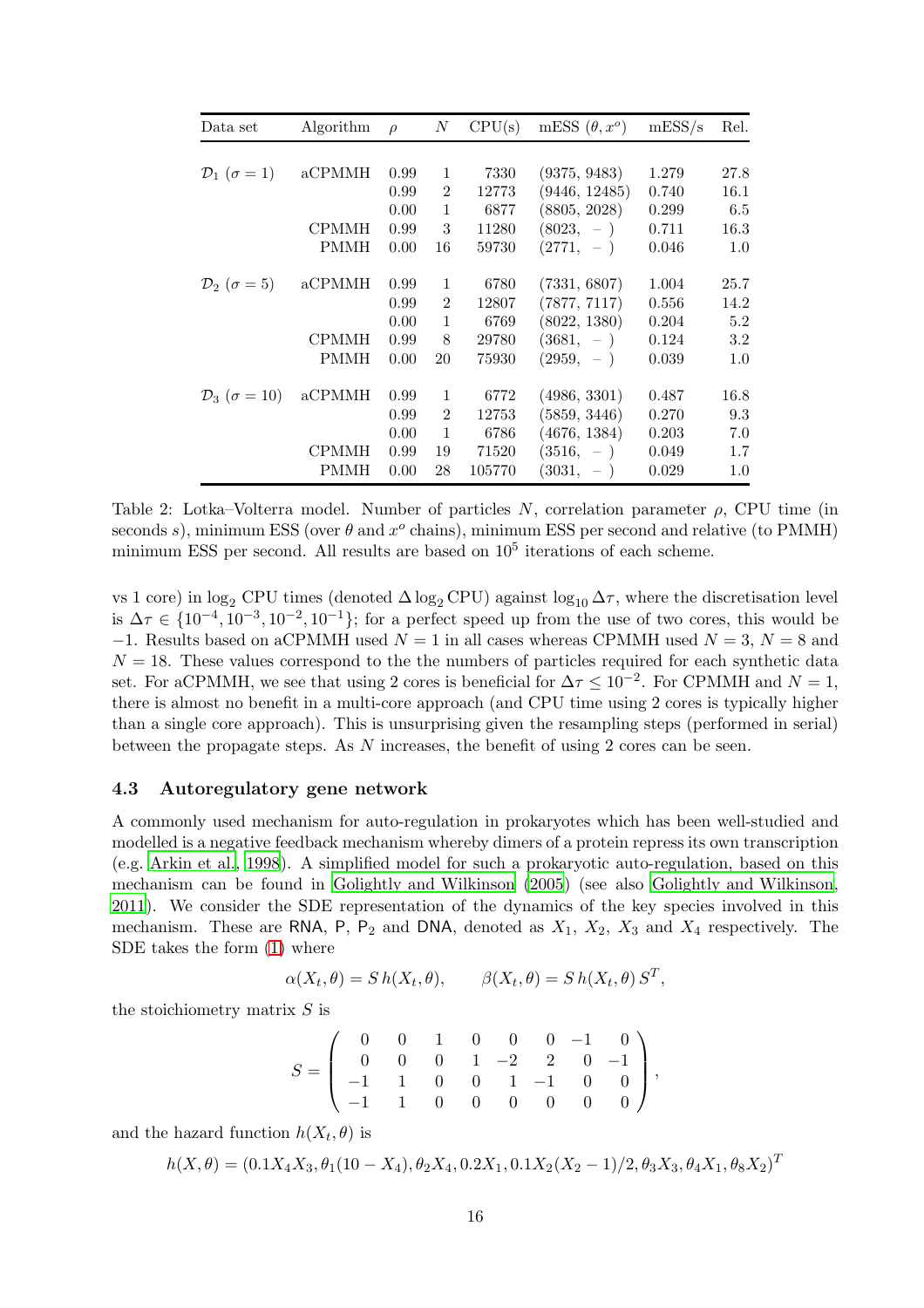| Data set                          | Algorithm    | $\rho$ | N              | CPU(s) | mESS $(\theta, x^{\circ})$ | mESS/s | Rel.    |
|-----------------------------------|--------------|--------|----------------|--------|----------------------------|--------|---------|
|                                   |              |        |                |        |                            |        |         |
| $\mathcal{D}_1$ ( $\sigma = 1$ )  | aCPMMH       | 0.99   | 1              | 7330   | (9375, 9483)               | 1.279  | 27.8    |
|                                   |              | 0.99   | $\overline{2}$ | 12773  | (9446, 12485)              | 0.740  | 16.1    |
|                                   |              | 0.00   | 1              | 6877   | (8805, 2028)               | 0.299  | 6.5     |
|                                   | CPMMH        | 0.99   | 3              | 11280  | $(8023, -)$                | 0.711  | 16.3    |
|                                   | PMMH         | 0.00   | 16             | 59730  | $(2771, -)$                | 0.046  | 1.0     |
| $\mathcal{D}_2$ ( $\sigma = 5$ )  | aCPMMH       | 0.99   | 1              | 6780   | (7331, 6807)               | 1.004  | 25.7    |
|                                   |              | 0.99   | $\overline{2}$ | 12807  | (7877, 7117)               | 0.556  | 14.2    |
|                                   |              | 0.00   | 1              | 6769   | (8022, 1380)               | 0.204  | 5.2     |
|                                   | <b>CPMMH</b> | 0.99   | 8              | 29780  | $(3681, -)$                | 0.124  | 3.2     |
|                                   | PMMH         | 0.00   | 20             | 75930  | $(2959, -)$                | 0.039  | 1.0     |
| $\mathcal{D}_3$ ( $\sigma = 10$ ) | aCPMMH       | 0.99   | 1              | 6772   | (4986, 3301)               | 0.487  | 16.8    |
|                                   |              | 0.99   | $\mathfrak{D}$ | 12753  | (5859, 3446)               | 0.270  | 9.3     |
|                                   |              | 0.00   | $\mathbf{1}$   | 6786   | (4676, 1384)               | 0.203  | 7.0     |
|                                   | CPMMH        | 0.99   | 19             | 71520  | $(3516, -)$                | 0.049  | 1.7     |
|                                   | PMMH         | 0.00   | 28             | 105770 | $(3031, -)$                | 0.029  | $1.0\,$ |

<span id="page-15-0"></span>Table 2: Lotka–Volterra model. Number of particles N, correlation parameter  $\rho$ , CPU time (in seconds s), minimum ESS (over  $\theta$  and  $x^o$  chains), minimum ESS per second and relative (to PMMH) minimum ESS per second. All results are based on  $10<sup>5</sup>$  iterations of each scheme.

vs 1 core) in log<sub>2</sub> CPU times (denoted  $\Delta \log_2$  CPU) against log<sub>10</sub>  $\Delta \tau$ , where the discretisation level is  $\Delta \tau \in \{10^{-4}, 10^{-3}, 10^{-2}, 10^{-1}\}$ ; for a perfect speed up from the use of two cores, this would be  $-1$ . Results based on aCPMMH used  $N = 1$  in all cases whereas CPMMH used  $N = 3$ ,  $N = 8$  and  $N = 18$ . These values correspond to the the numbers of particles required for each synthetic data set. For aCPMMH, we see that using 2 cores is beneficial for  $\Delta \tau \leq 10^{-2}$ . For CPMMH and  $N = 1$ , there is almost no benefit in a multi-core approach (and CPU time using 2 cores is typically higher than a single core approach). This is unsurprising given the resampling steps (performed in serial) between the propagate steps. As N increases, the benefit of using 2 cores can be seen.

# 4.3 Autoregulatory gene network

A commonly used mechanism for auto-regulation in prokaryotes which has been well-studied and modelled is a negative feedback mechanism whereby dimers of a protein repress its own transcription (e.g. [Arkin et al., 1998](#page-23-8)). A simplified model for such a prokaryotic auto-regulation, based on this mechanism can be found in [Golightly and Wilkinson \(2005](#page-24-14)) (see also [Golightly and Wilkinson,](#page-24-2) [2011\)](#page-24-2). We consider the SDE representation of the dynamics of the key species involved in this mechanism. These are RNA, P, P<sub>2</sub> and DNA, denoted as  $X_1$ ,  $X_2$ ,  $X_3$  and  $X_4$  respectively. The SDE takes the form [\(1\)](#page-2-1) where

$$
\alpha(X_t, \theta) = S h(X_t, \theta), \qquad \beta(X_t, \theta) = S h(X_t, \theta) S^T,
$$

the stoichiometry matrix  $S$  is

$$
S = \left(\begin{array}{cccccc} 0 & 0 & 1 & 0 & 0 & 0 & -1 & 0 \\ 0 & 0 & 0 & 1 & -2 & 2 & 0 & -1 \\ -1 & 1 & 0 & 0 & 1 & -1 & 0 & 0 \\ -1 & 1 & 0 & 0 & 0 & 0 & 0 & 0 \end{array}\right),
$$

and the hazard function  $h(X_t, \theta)$  is

$$
h(X, \theta) = (0.1X_4X_3, \theta_1(10 - X_4), \theta_2X_4, 0.2X_1, 0.1X_2(X_2 - 1)/2, \theta_3X_3, \theta_4X_1, \theta_8X_2)^T
$$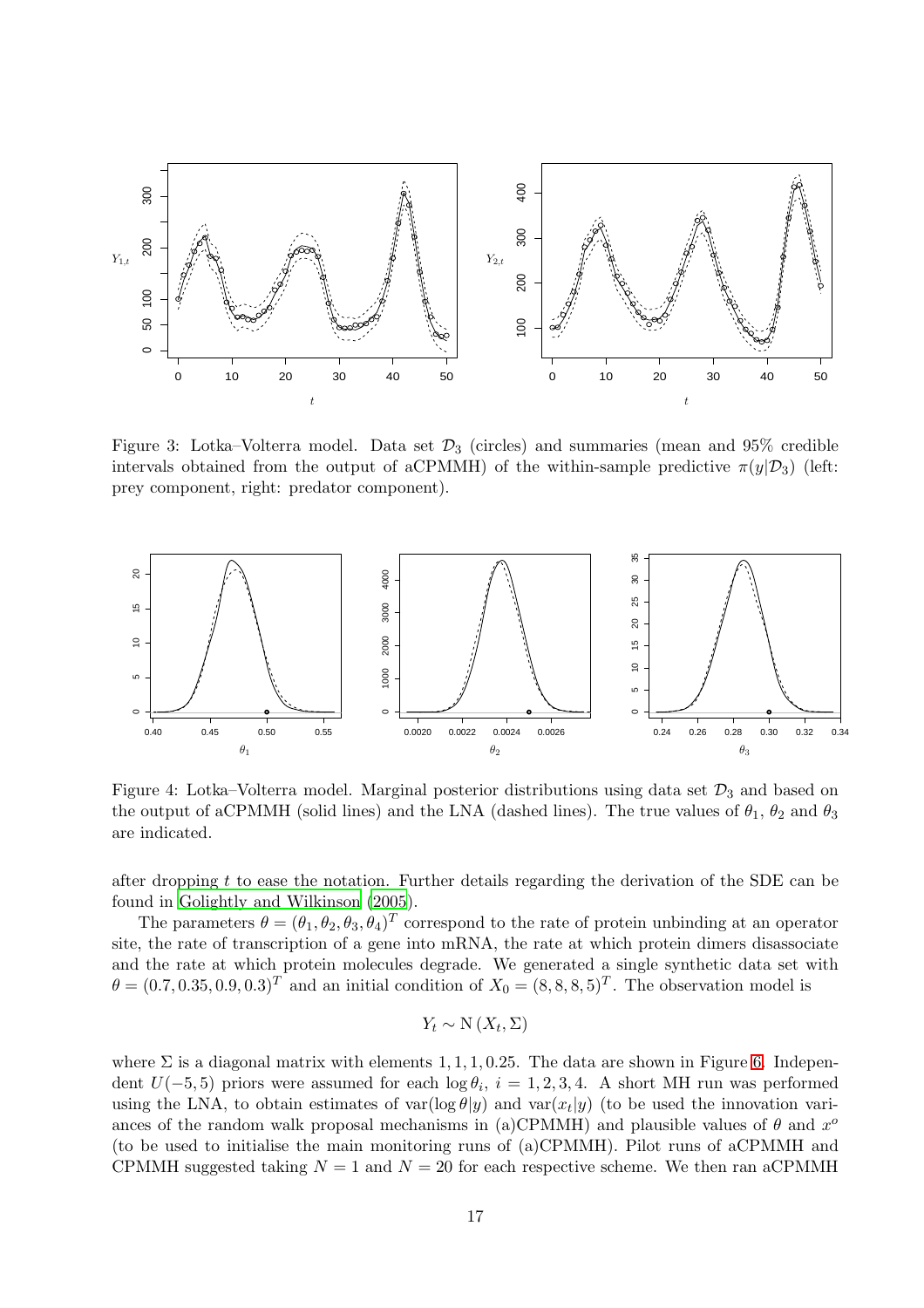

g replacements

g replacements

<span id="page-16-0"></span>Figure 3: Lotka–Volterra model. Data set  $\mathcal{D}_3$  (circles) and summaries (mean and 95% credible intervals <u>δ</u> btained from the output of aCPMMH) of the within-sample predictive  $\pi(y|\mathcal{D}_3)$  (left: prey component, right: predator component).



<span id="page-16-1"></span>Figure 4: Lotka–Volterra model. Marginal posterior distributions using data set  $\mathcal{D}_3$  and based on the output of aCPMMH (solid lines) and the LNA (dashed lines). The true values of  $\theta_1$ ,  $\theta_2$  and  $\theta_3$ are indicated.

after dropping t to ease the notation. Further details regarding the derivation of the SDE can be found in [Golightly and Wilkinson \(2005](#page-24-14)).

The parameters  $\theta = (\theta_1, \theta_2, \theta_3, \theta_4)^T$  correspond to the rate of protein unbinding at an operator site, the rate of transcription of a gene into mRNA, the rate at which protein dimers disassociate and the rate at which protein molecules degrade. We generated a single synthetic data set with  $\theta = (0.7, 0.35, 0.9, 0.3)^T$  and an initial condition of  $X_0 = (8, 8, 8, 5)^T$ . The observation model is

$$
Y_t \sim \mathcal{N}(X_t, \Sigma)
$$

where  $\Sigma$  is a diagonal matrix with elements 1, 1, 1, 0.25. The data are shown in Figure [6.](#page-18-0) Independent  $U(-5, 5)$  priors were assumed for each  $\log \theta_i$ ,  $i = 1, 2, 3, 4$ . A short MH run was performed using the LNA, to obtain estimates of  $var(log \theta | y)$  and  $var(x_t | y)$  (to be used the innovation variances of the random walk proposal mechanisms in (a)CPMMH) and plausible values of  $\theta$  and  $x^{\circ}$ (to be used to initialise the main monitoring runs of (a)CPMMH). Pilot runs of aCPMMH and CPMMH suggested taking  $N = 1$  and  $N = 20$  for each respective scheme. We then ran aCPMMH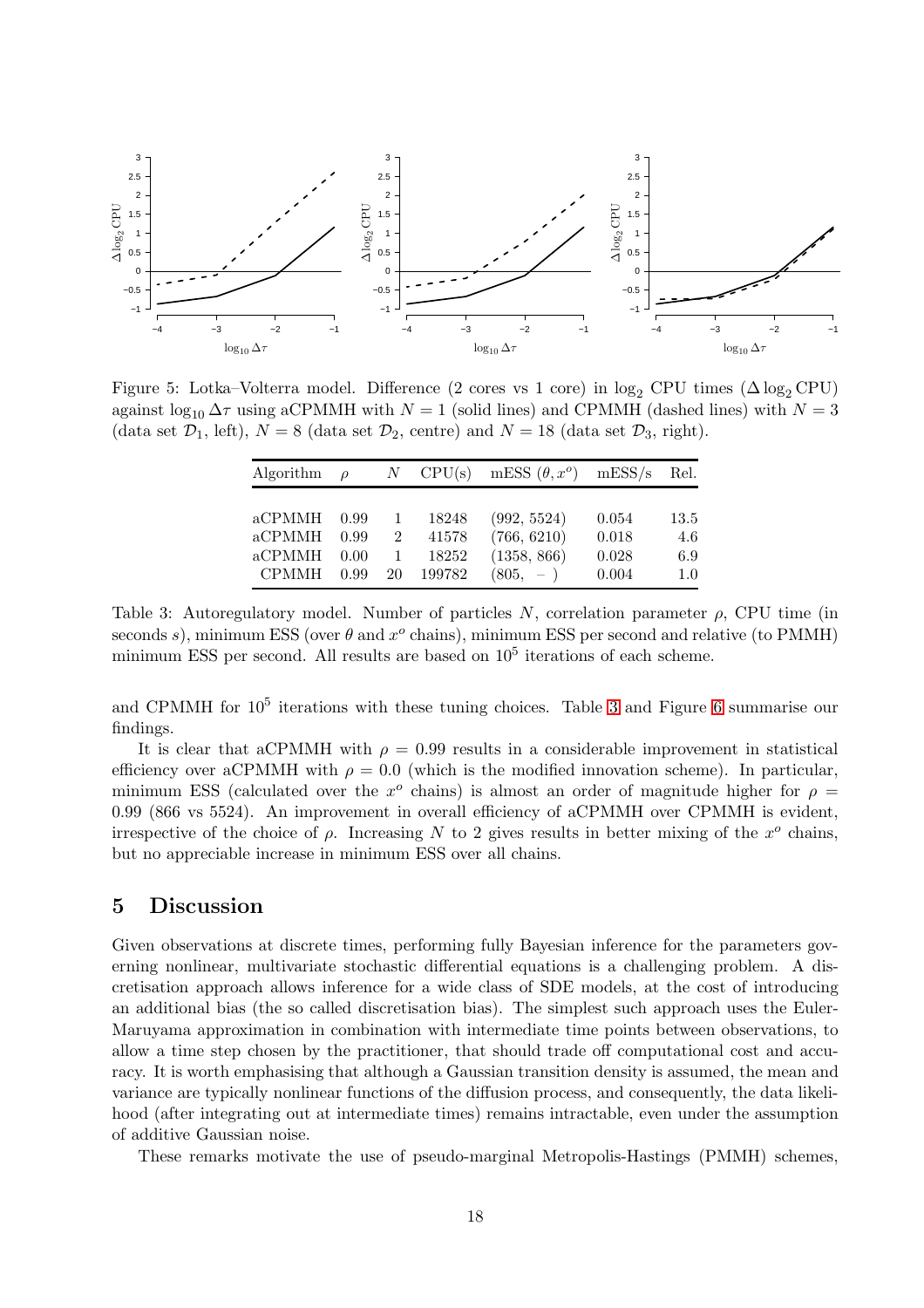

<span id="page-17-1"></span>Figure 5: Lotka–Volterra model. Difference (2 cores vs 1 core) in  $\log_2$  CPU times ( $\Delta \log_2$  CPU) against  $\log_{10} \Delta \tau$  using aCPMMH with  $N = 1$  (solid lines) and CPMMH (dashed lines) with  $N = 3$ (data set  $\mathcal{D}_1$ , left),  $N = 8$  (data set  $\mathcal{D}_2$ , centre) and  $N = 18$  (data set  $\mathcal{D}_3$ , right).

| Algorithm                                  | $\rho$                       |                           | $N$ CPU(s)                        | mESS $(\theta, x^{\circ})$                              | mESS/s                           | Rel.                      |
|--------------------------------------------|------------------------------|---------------------------|-----------------------------------|---------------------------------------------------------|----------------------------------|---------------------------|
| aCPMMH<br>aCPMMH<br>aCPMMH<br><b>CPMMH</b> | 0.99<br>0.99<br>0.00<br>0.99 | 1<br>$\overline{2}$<br>20 | 18248<br>41578<br>18252<br>199782 | (992, 5524)<br>(766, 6210)<br>(1358, 866)<br>$(805, -)$ | 0.054<br>0.018<br>0.028<br>0.004 | 13.5<br>4.6<br>6.9<br>1.0 |

<span id="page-17-2"></span>Table 3: Autoregulatory model. Number of particles N, correlation parameter  $\rho$ , CPU time (in seconds s), minimum ESS (over  $\theta$  and  $x^o$  chains), minimum ESS per second and relative (to PMMH) minimum ESS per second. All results are based on  $10<sup>5</sup>$  iterations of each scheme.

and CPMMH for  $10^5$  iterations with these tuning choices. Table [3](#page-17-2) and Figure [6](#page-18-0) summarise our findings.

It is clear that aCPMMH with  $\rho = 0.99$  results in a considerable improvement in statistical efficiency over aCPMMH with  $\rho = 0.0$  (which is the modified innovation scheme). In particular, minimum ESS (calculated over the  $x^{\circ}$  chains) is almost an order of magnitude higher for  $\rho =$ 0.99 (866 vs 5524). An improvement in overall efficiency of aCPMMH over CPMMH is evident, irrespective of the choice of  $\rho$ . Increasing N to 2 gives results in better mixing of the  $x^{\circ}$  chains, but no appreciable increase in minimum ESS over all chains.

# <span id="page-17-0"></span>5 Discussion

Given observations at discrete times, performing fully Bayesian inference for the parameters governing nonlinear, multivariate stochastic differential equations is a challenging problem. A discretisation approach allows inference for a wide class of SDE models, at the cost of introducing an additional bias (the so called discretisation bias). The simplest such approach uses the Euler-Maruyama approximation in combination with intermediate time points between observations, to allow a time step chosen by the practitioner, that should trade off computational cost and accuracy. It is worth emphasising that although a Gaussian transition density is assumed, the mean and variance are typically nonlinear functions of the diffusion process, and consequently, the data likelihood (after integrating out at intermediate times) remains intractable, even under the assumption of additive Gaussian noise.

These remarks motivate the use of pseudo-marginal Metropolis-Hastings (PMMH) schemes,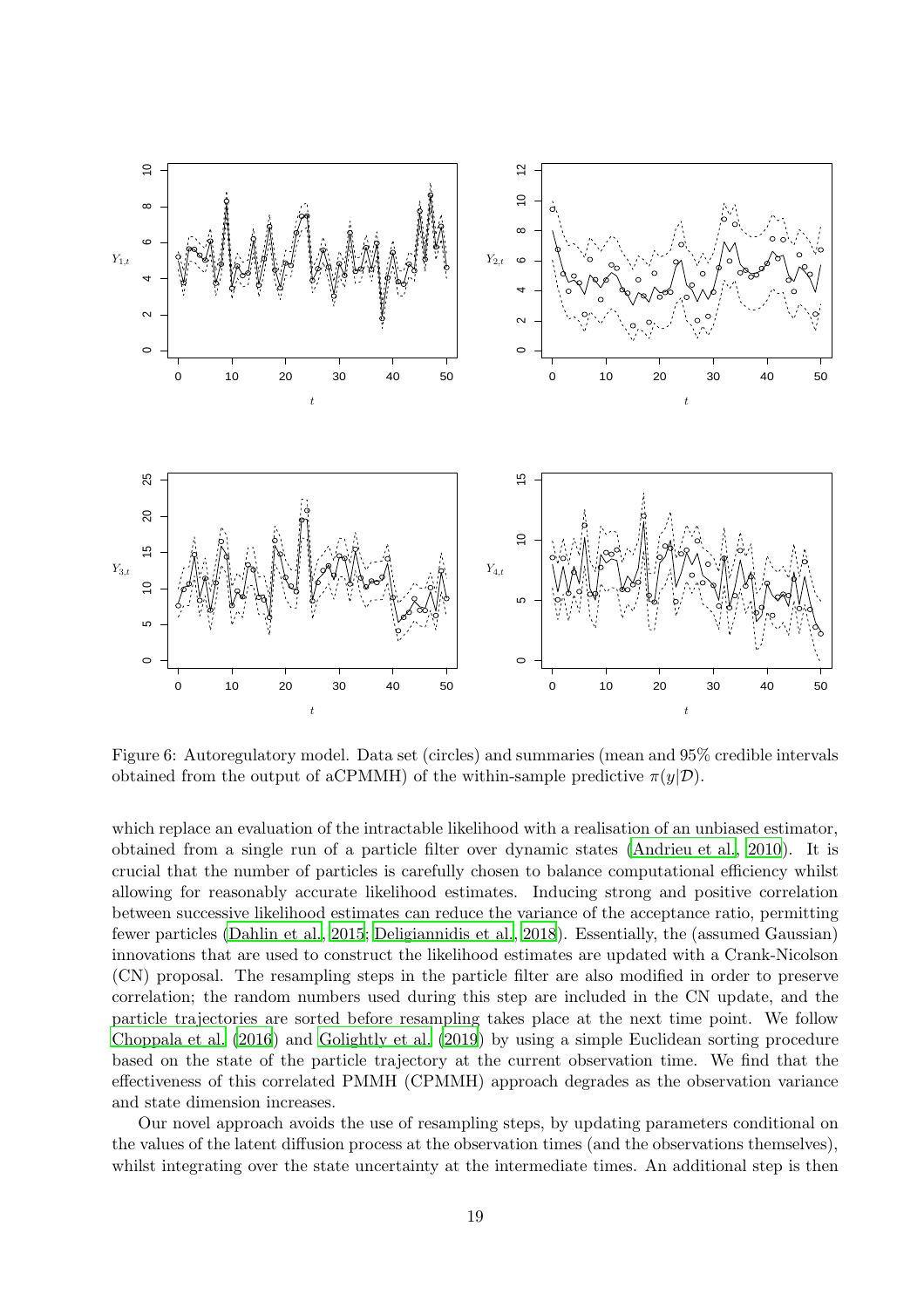

<span id="page-18-0"></span>Figure 6: Autoregulatory model. Data set (circles) and summaries (mean and 95% credible intervals obtained from the output of aCPMMH) of the within-sample predictive  $\pi(\eta|\mathcal{D})$ .

which replace an evaluation of the intractable likelihood with a realisation of an unbiased estimator, obtained from a single run of a particle filter over dynamic states [\(Andrieu et al., 2010](#page-23-1)). It is crucial that the number of particles is carefully chosen to balance computational efficiency whilst allowing for reasonably accurate likelihood estimates. Inducing strong and positive correlation between successive likelihood estimates can reduce the variance of the acceptance ratio, permitting fewer particles [\(Dahlin et al.](#page-23-4), [2015;](#page-23-4) [Deligiannidis et al.,](#page-24-6) [2018](#page-24-6)). Essentially, the (assumed Gaussian) innovations that are used to construct the likelihood estimates are updated with a Crank-Nicolson (CN) proposal. The resampling steps in the particle filter are also modified in order to preserve correlation; the random numbers used during this step are included in the CN update, and the particle trajectories are sorted before resampling takes place at the next time point. We follow [Choppala et al. \(2016](#page-23-5)) and [Golightly et al. \(2019\)](#page-24-7) by using a simple Euclidean sorting procedure based on the state of the particle trajectory at the current observation time. We find that the effectiveness of this correlated PMMH (CPMMH) approach degrades as the observation variance and state dimension increases.

Our novel approach avoids the use of resampling steps, by updating parameters conditional on the values of the latent diffusion process at the observation times (and the observations themselves), whilst integrating over the state uncertainty at the intermediate times. An additional step is then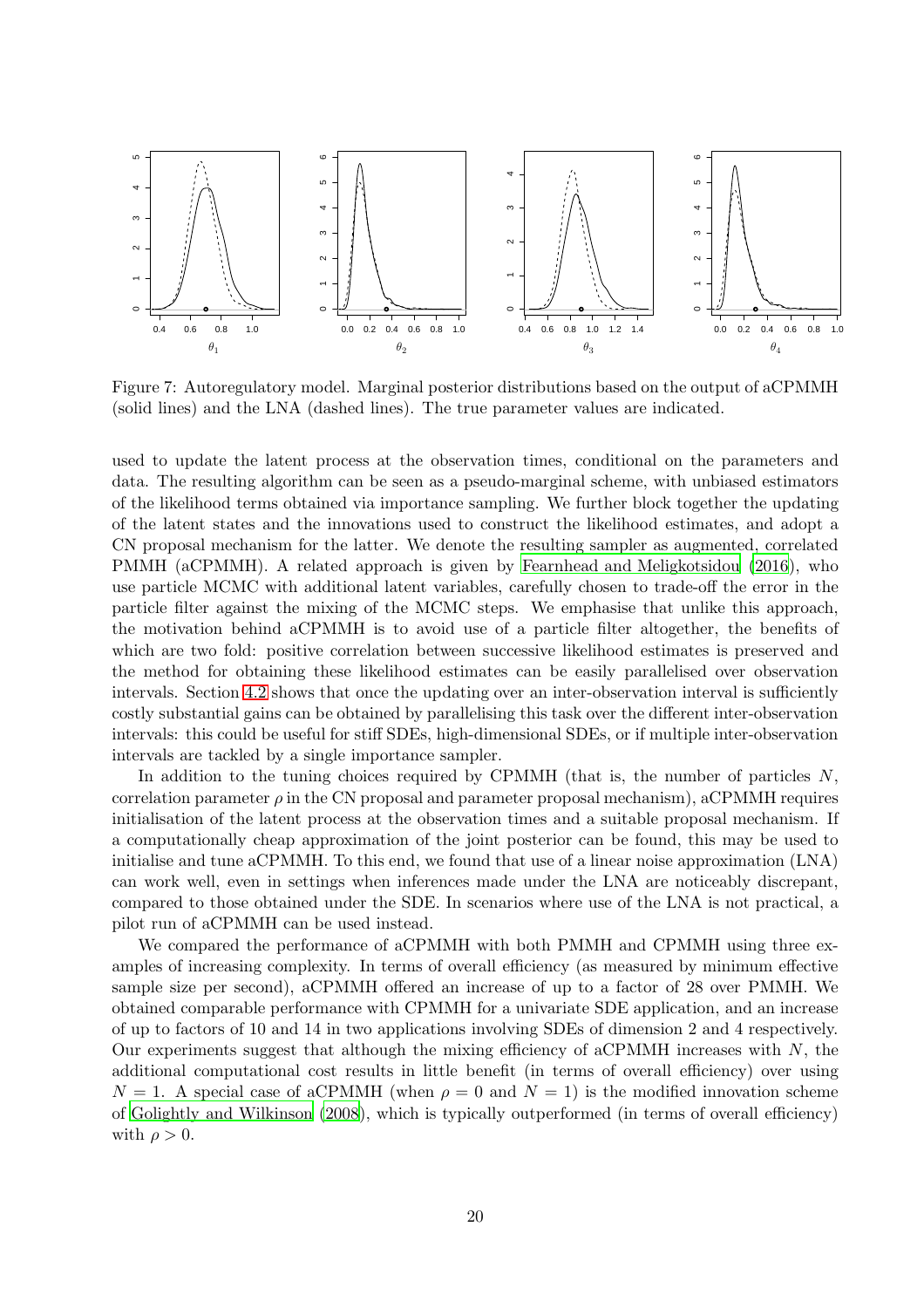

Figure 7: Autoregulatory model. Marginal posterior distributions based on the output of aCPMMH (solid lines) and the LNA (dashed lines). The true parameter values are indicated.

used to update the latent process at the observation times, conditional on the parameters and data. The resulting algorithm can be seen as a pseudo-marginal scheme, with unbiased estimators of the likelihood terms obtained via importance sampling. We further block together the updating of the latent states and the innovations used to construct the likelihood estimates, and adopt a CN proposal mechanism for the latter. We denote the resulting sampler as augmented, correlated PMMH (aCPMMH). A related approach is given by [Fearnhead and Meligkotsidou \(2016\)](#page-24-15), who use particle MCMC with additional latent variables, carefully chosen to trade-off the error in the particle filter against the mixing of the MCMC steps. We emphasise that unlike this approach, the motivation behind aCPMMH is to avoid use of a particle filter altogether, the benefits of which are two fold: positive correlation between successive likelihood estimates is preserved and the method for obtaining these likelihood estimates can be easily parallelised over observation intervals. Section [4.2](#page-13-2) shows that once the updating over an inter-observation interval is sufficiently costly substantial gains can be obtained by parallelising this task over the different inter-observation intervals: this could be useful for stiff SDEs, high-dimensional SDEs, or if multiple inter-observation intervals are tackled by a single importance sampler.

In addition to the tuning choices required by CPMMH (that is, the number of particles  $N$ , correlation parameter  $\rho$  in the CN proposal and parameter proposal mechanism), aCPMMH requires initialisation of the latent process at the observation times and a suitable proposal mechanism. If a computationally cheap approximation of the joint posterior can be found, this may be used to initialise and tune aCPMMH. To this end, we found that use of a linear noise approximation (LNA) can work well, even in settings when inferences made under the LNA are noticeably discrepant, compared to those obtained under the SDE. In scenarios where use of the LNA is not practical, a pilot run of aCPMMH can be used instead.

We compared the performance of aCPMMH with both PMMH and CPMMH using three examples of increasing complexity. In terms of overall efficiency (as measured by minimum effective sample size per second), aCPMMH offered an increase of up to a factor of 28 over PMMH. We obtained comparable performance with CPMMH for a univariate SDE application, and an increase of up to factors of 10 and 14 in two applications involving SDEs of dimension 2 and 4 respectively. Our experiments suggest that although the mixing efficiency of aCPMMH increases with  $N$ , the additional computational cost results in little benefit (in terms of overall efficiency) over using  $N = 1$ . A special case of aCPMMH (when  $\rho = 0$  and  $N = 1$ ) is the modified innovation scheme of [Golightly and Wilkinson \(2008](#page-24-4)), which is typically outperformed (in terms of overall efficiency) with  $\rho > 0$ .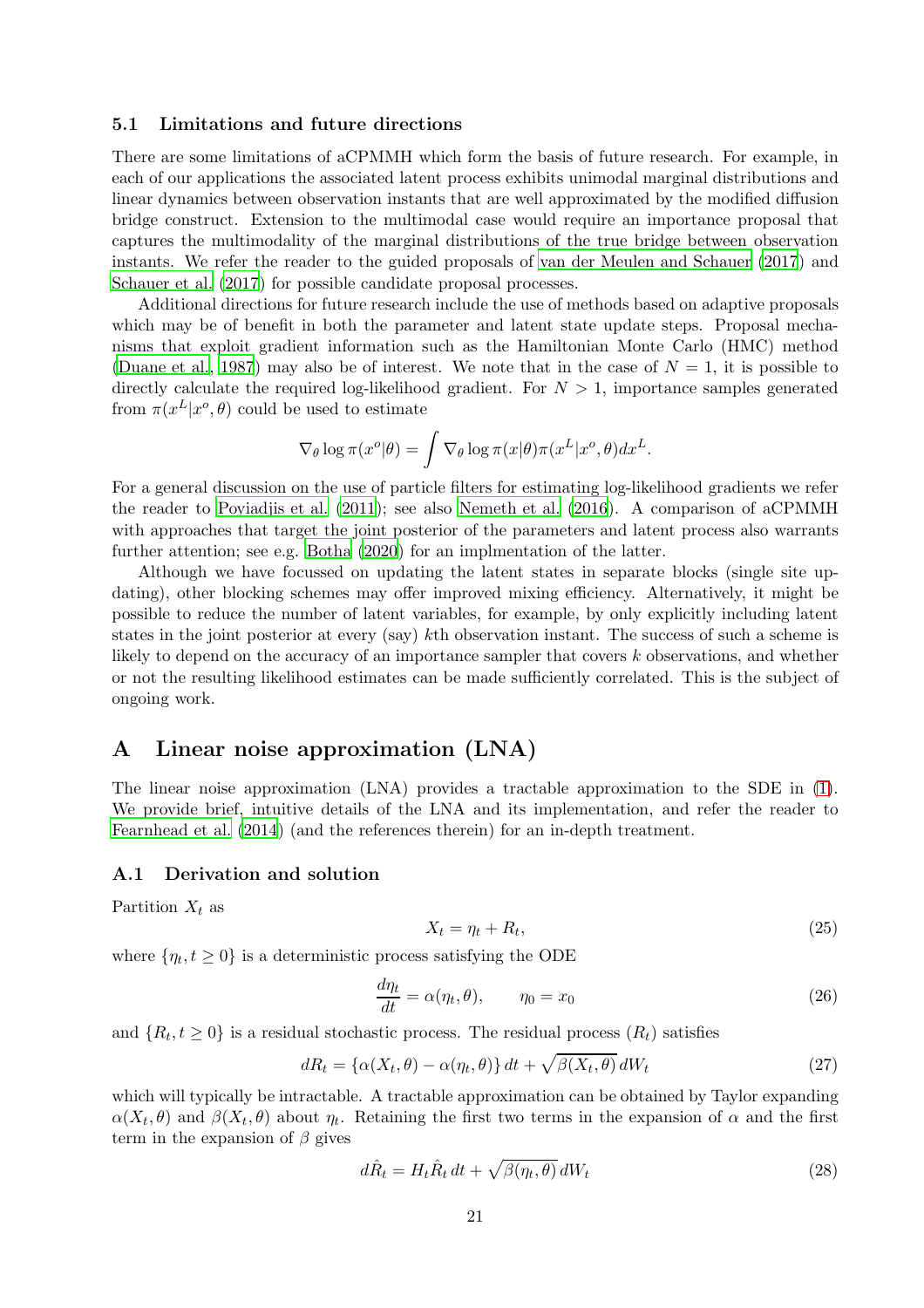# 5.1 Limitations and future directions

There are some limitations of aCPMMH which form the basis of future research. For example, in each of our applications the associated latent process exhibits unimodal marginal distributions and linear dynamics between observation instants that are well approximated by the modified diffusion bridge construct. Extension to the multimodal case would require an importance proposal that captures the multimodality of the marginal distributions of the true bridge between observation instants. We refer the reader to the guided proposals of [van der Meulen and Schauer \(2017](#page-25-4)) and Schauer et al.  $(2017)$  for possible candidate proposal processes.

Additional directions for future research include the use of methods based on adaptive proposals which may be of benefit in both the parameter and latent state update steps. Proposal mechanisms that exploit gradient information such as the Hamiltonian Monte Carlo (HMC) method [\(Duane et al., 1987\)](#page-24-16) may also be of interest. We note that in the case of  $N = 1$ , it is possible to directly calculate the required log-likelihood gradient. For  $N > 1$ , importance samples generated from  $\pi(x^L|x^o, \theta)$  could be used to estimate

$$
\nabla_{\theta} \log \pi(x^o | \theta) = \int \nabla_{\theta} \log \pi(x | \theta) \pi(x^L | x^o, \theta) dx^L.
$$

For a general discussion on the use of particle filters for estimating log-likelihood gradients we refer the reader to [Poyiadjis et al. \(2011](#page-25-13)); see also [Nemeth et al. \(2016](#page-24-17)). A comparison of aCPMMH with approaches that target the joint posterior of the parameters and latent process also warrants further attention; see e.g. [Botha \(2020](#page-23-9)) for an implmentation of the latter.

Although we have focussed on updating the latent states in separate blocks (single site updating), other blocking schemes may offer improved mixing efficiency. Alternatively, it might be possible to reduce the number of latent variables, for example, by only explicitly including latent states in the joint posterior at every (say) kth observation instant. The success of such a scheme is likely to depend on the accuracy of an importance sampler that covers k observations, and whether or not the resulting likelihood estimates can be made sufficiently correlated. This is the subject of ongoing work.

# <span id="page-20-0"></span>A Linear noise approximation (LNA)

The linear noise approximation (LNA) provides a tractable approximation to the SDE in [\(1\)](#page-2-1). We provide brief, intuitive details of the LNA and its implementation, and refer the reader to [Fearnhead et al. \(2014\)](#page-24-12) (and the references therein) for an in-depth treatment.

# A.1 Derivation and solution

Partition  $X_t$  as

$$
X_t = \eta_t + R_t,\tag{25}
$$

where  $\{\eta_t, t \geq 0\}$  is a deterministic process satisfying the ODE

<span id="page-20-1"></span>
$$
\frac{d\eta_t}{dt} = \alpha(\eta_t, \theta), \qquad \eta_0 = x_0 \tag{26}
$$

and  $\{R_t, t \geq 0\}$  is a residual stochastic process. The residual process  $(R_t)$  satisfies

$$
dR_t = {\alpha(X_t, \theta) - \alpha(\eta_t, \theta)} dt + \sqrt{\beta(X_t, \theta)} dW_t
$$
\n(27)

which will typically be intractable. A tractable approximation can be obtained by Taylor expanding  $\alpha(X_t, \theta)$  and  $\beta(X_t, \theta)$  about  $\eta_t$ . Retaining the first two terms in the expansion of  $\alpha$  and the first term in the expansion of  $\beta$  gives

$$
d\hat{R}_t = H_t \hat{R}_t dt + \sqrt{\beta(\eta_t, \theta)} dW_t
$$
\n(28)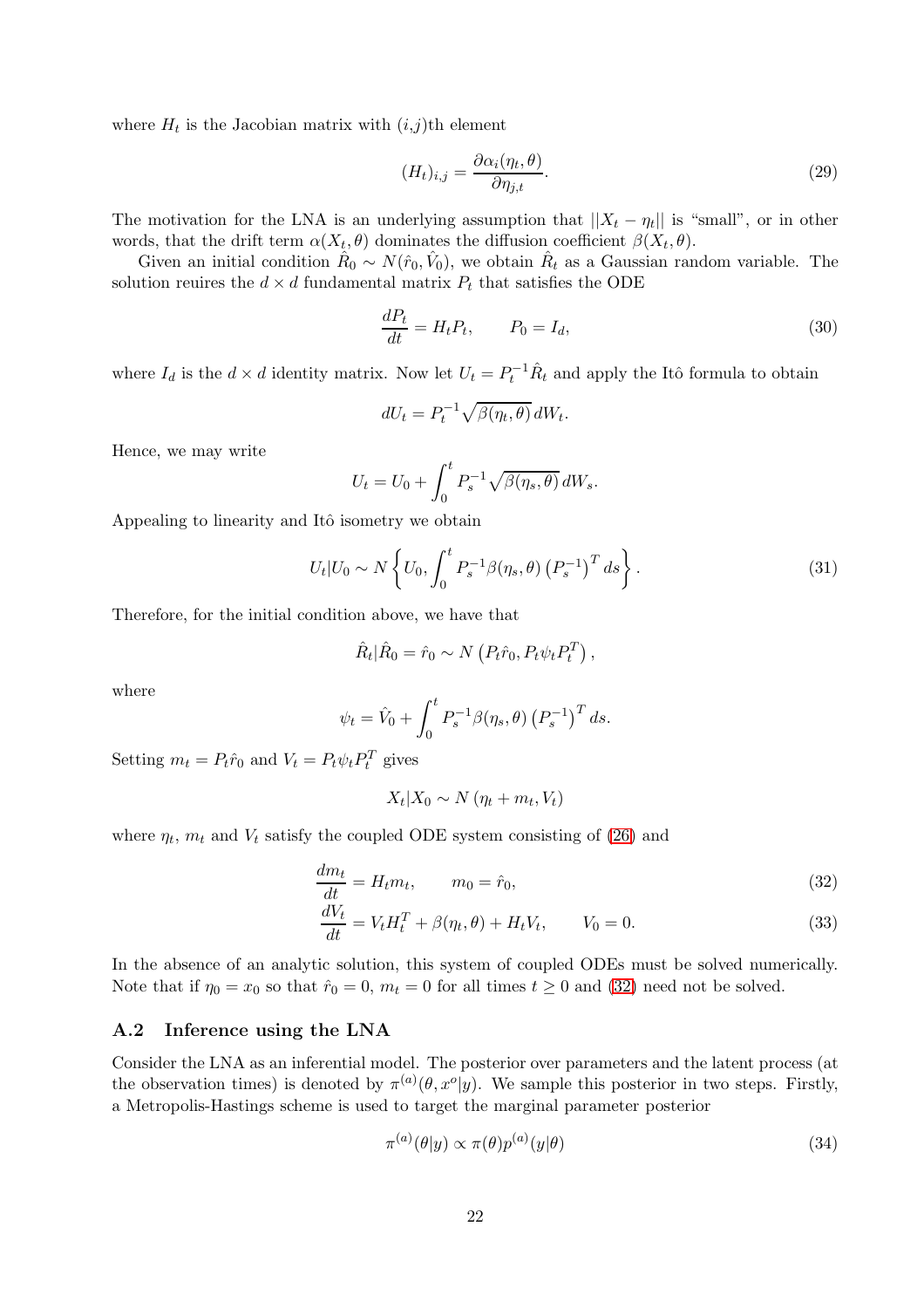where  $H_t$  is the Jacobian matrix with  $(i,j)$ th element

$$
(H_t)_{i,j} = \frac{\partial \alpha_i(\eta_t, \theta)}{\partial \eta_{j,t}}.
$$
\n(29)

The motivation for the LNA is an underlying assumption that  $||X_t - \eta_t||$  is "small", or in other words, that the drift term  $\alpha(X_t, \theta)$  dominates the diffusion coefficient  $\beta(X_t, \theta)$ .

Given an initial condition  $\hat{R}_0 \sim N(\hat{r}_0, \hat{V}_0)$ , we obtain  $\hat{R}_t$  as a Gaussian random variable. The solution reuires the  $d \times d$  fundamental matrix  $P_t$  that satisfies the ODE

<span id="page-21-2"></span>
$$
\frac{dP_t}{dt} = H_t P_t, \qquad P_0 = I_d,\tag{30}
$$

where  $I_d$  is the  $d \times d$  identity matrix. Now let  $U_t = P_t^{-1} \hat{R}_t$  and apply the Itô formula to obtain

$$
dU_t = P_t^{-1} \sqrt{\beta(\eta_t, \theta)} \, dW_t.
$$

Hence, we may write

$$
U_t = U_0 + \int_0^t P_s^{-1} \sqrt{\beta(\eta_s, \theta)} \, dW_s.
$$

Appealing to linearity and Itô isometry we obtain

$$
U_t | U_0 \sim N \left\{ U_0, \int_0^t P_s^{-1} \beta(\eta_s, \theta) \left( P_s^{-1} \right)^T ds \right\}.
$$
 (31)

Therefore, for the initial condition above, we have that

$$
\hat{R}_t|\hat{R}_0=\hat{r}_0\sim N\left(P_t\hat{r}_0,P_t\psi_tP_t^T\right),\,
$$

where

$$
\psi_t = \hat{V}_0 + \int_0^t P_s^{-1} \beta(\eta_s, \theta) (P_s^{-1})^T ds.
$$

Setting  $m_t = P_t \hat{r}_0$  and  $V_t = P_t \psi_t P_t^T$  gives

<span id="page-21-1"></span><span id="page-21-0"></span> $X_t|X_0 \sim N(\eta_t + m_t, V_t)$ 

where  $\eta_t$ ,  $m_t$  and  $V_t$  satisfy the coupled ODE system consisting of [\(26\)](#page-20-1) and

$$
\frac{dm_t}{dt} = H_t m_t, \qquad m_0 = \hat{r}_0,\tag{32}
$$

$$
\frac{dV_t}{dt} = V_t H_t^T + \beta(\eta_t, \theta) + H_t V_t, \qquad V_0 = 0.
$$
\n(33)

In the absence of an analytic solution, this system of coupled ODEs must be solved numerically. Note that if  $\eta_0 = x_0$  so that  $\hat{r}_0 = 0$ ,  $m_t = 0$  for all times  $t \ge 0$  and [\(32\)](#page-21-0) need not be solved.

# A.2 Inference using the LNA

Consider the LNA as an inferential model. The posterior over parameters and the latent process (at the observation times) is denoted by  $\pi^{(a)}(\theta, x^o|y)$ . We sample this posterior in two steps. Firstly, a Metropolis-Hastings scheme is used to target the marginal parameter posterior

<span id="page-21-3"></span>
$$
\pi^{(a)}(\theta|y) \propto \pi(\theta)p^{(a)}(y|\theta)
$$
\n(34)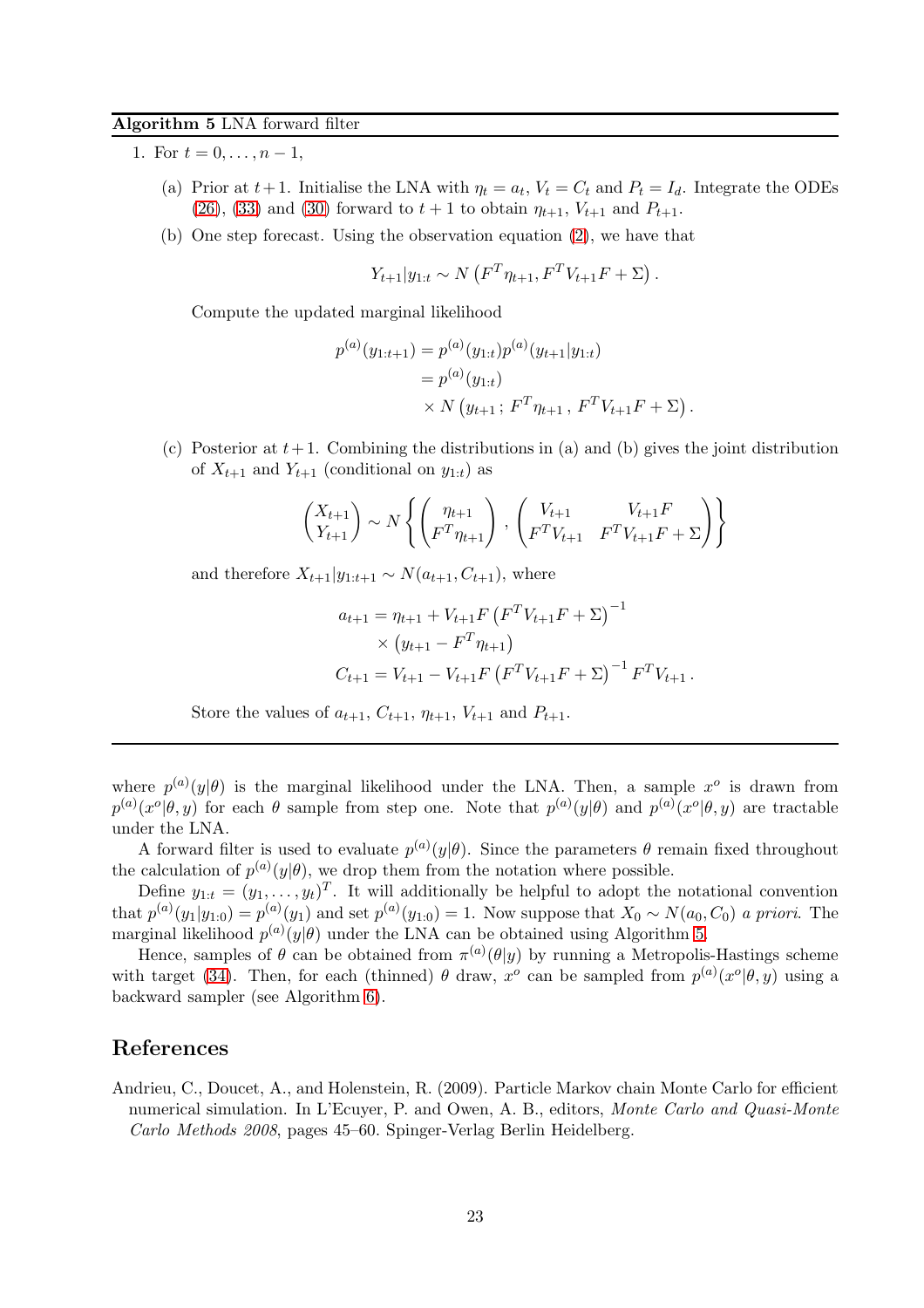# <span id="page-22-1"></span>Algorithm 5 LNA forward filter

- 1. For  $t = 0, \ldots, n 1$ ,
	- (a) Prior at  $t+1$ . Initialise the LNA with  $\eta_t = a_t$ ,  $V_t = C_t$  and  $P_t = I_d$ . Integrate the ODEs  $(26)$ ,  $(33)$  and  $(30)$  forward to  $t + 1$  to obtain  $\eta_{t+1}$ ,  $V_{t+1}$  and  $P_{t+1}$ .
	- (b) One step forecast. Using the observation equation [\(2\)](#page-2-3), we have that

$$
Y_{t+1}|y_{1:t} \sim N(F^T \eta_{t+1}, F^T V_{t+1} F + \Sigma).
$$

Compute the updated marginal likelihood

$$
p^{(a)}(y_{1:t+1}) = p^{(a)}(y_{1:t})p^{(a)}(y_{t+1}|y_{1:t})
$$
  
=  $p^{(a)}(y_{1:t})$   
×  $N(y_{t+1}; FT\eta_{t+1}, FTV_{t+1}F + \Sigma)$ 

.

(c) Posterior at  $t+1$ . Combining the distributions in (a) and (b) gives the joint distribution of  $X_{t+1}$  and  $Y_{t+1}$  (conditional on  $y_{1:t}$ ) as

$$
\begin{pmatrix} X_{t+1} \\ Y_{t+1} \end{pmatrix} \sim N \left\{ \begin{pmatrix} \eta_{t+1} \\ F^T \eta_{t+1} \end{pmatrix}, \begin{pmatrix} V_{t+1} & V_{t+1}F \\ F^T V_{t+1} & F^T V_{t+1}F + \Sigma \end{pmatrix} \right\}
$$

and therefore  $X_{t+1}|y_{1:t+1} \sim N(a_{t+1}, C_{t+1}),$  where

$$
a_{t+1} = \eta_{t+1} + V_{t+1} F \left( F^T V_{t+1} F + \Sigma \right)^{-1}
$$
  
 
$$
\times \left( y_{t+1} - F^T \eta_{t+1} \right)
$$
  
\n
$$
C_{t+1} = V_{t+1} - V_{t+1} F \left( F^T V_{t+1} F + \Sigma \right)^{-1} F^T V_{t+1}.
$$

Store the values of  $a_{t+1}$ ,  $C_{t+1}$ ,  $\eta_{t+1}$ ,  $V_{t+1}$  and  $P_{t+1}$ .

where  $p^{(a)}(y|\theta)$  is the marginal likelihood under the LNA. Then, a sample  $x^o$  is drawn from  $p^{(a)}(x^o|\theta, y)$  for each  $\theta$  sample from step one. Note that  $p^{(a)}(y|\theta)$  and  $p^{(a)}(x^o|\theta, y)$  are tractable under the LNA.

A forward filter is used to evaluate  $p^{(a)}(y|\theta)$ . Since the parameters  $\theta$  remain fixed throughout the calculation of  $p^{(a)}(y|\theta)$ , we drop them from the notation where possible.

Define  $y_{1:t} = (y_1, \ldots, y_t)^T$ . It will additionally be helpful to adopt the notational convention that  $p^{(a)}(y_1|y_{1:0}) = p^{(a)}(y_1)$  and set  $p^{(a)}(y_{1:0}) = 1$ . Now suppose that  $X_0 \sim N(a_0, C_0)$  a priori. The marginal likelihood  $p^{(a)}(y|\theta)$  under the LNA can be obtained using Algorithm [5.](#page-22-1)

Hence, samples of  $\theta$  can be obtained from  $\pi^{(a)}(\theta|y)$  by running a Metropolis-Hastings scheme with target [\(34\)](#page-21-3). Then, for each (thinned)  $\theta$  draw,  $x^{\circ}$  can be sampled from  $p^{(a)}(x^{\circ}|\theta, y)$  using a backward sampler (see Algorithm [6\)](#page-23-10).

# References

<span id="page-22-0"></span>Andrieu, C., Doucet, A., and Holenstein, R. (2009). Particle Markov chain Monte Carlo for efficient numerical simulation. In L'Ecuyer, P. and Owen, A. B., editors, Monte Carlo and Quasi-Monte Carlo Methods 2008, pages 45–60. Spinger-Verlag Berlin Heidelberg.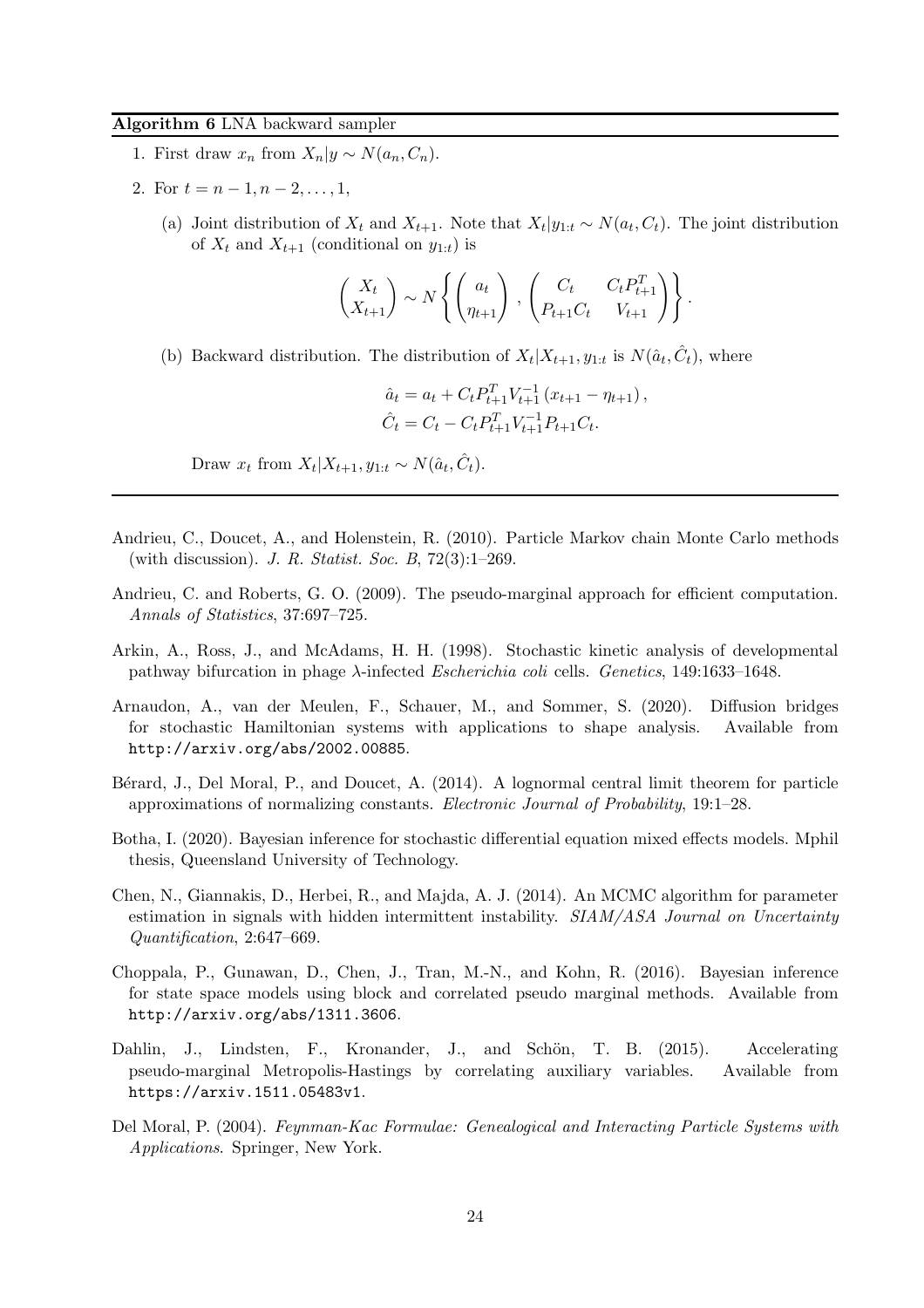### <span id="page-23-10"></span>Algorithm 6 LNA backward sampler

- 1. First draw  $x_n$  from  $X_n|y \sim N(a_n, C_n)$ .
- 2. For  $t = n 1, n 2, \ldots, 1$ ,
	- (a) Joint distribution of  $X_t$  and  $X_{t+1}$ . Note that  $X_t|y_{1:t} \sim N(a_t, C_t)$ . The joint distribution of  $X_t$  and  $X_{t+1}$  (conditional on  $y_{1:t}$ ) is

$$
\begin{pmatrix} X_t \\ X_{t+1} \end{pmatrix} \sim N \left\{ \begin{pmatrix} a_t \\ \eta_{t+1} \end{pmatrix}, \begin{pmatrix} C_t & C_t P_{t+1}^T \\ P_{t+1} C_t & V_{t+1} \end{pmatrix} \right\}.
$$

(b) Backward distribution. The distribution of  $X_t | X_{t+1}, y_{1:t}$  is  $N(\hat{a}_t, \hat{C}_t)$ , where

$$
\begin{aligned}\n\hat{a}_t &= a_t + C_t P_{t+1}^T V_{t+1}^{-1} (x_{t+1} - \eta_{t+1}), \\
\hat{C}_t &= C_t - C_t P_{t+1}^T V_{t+1}^{-1} P_{t+1} C_t.\n\end{aligned}
$$

Draw  $x_t$  from  $X_t | X_{t+1}, y_{1:t} \sim N(\hat{a}_t, \hat{C}_t)$ .

- <span id="page-23-1"></span>Andrieu, C., Doucet, A., and Holenstein, R. (2010). Particle Markov chain Monte Carlo methods (with discussion). J. R. Statist. Soc. B, 72(3):1–269.
- <span id="page-23-2"></span>Andrieu, C. and Roberts, G. O. (2009). The pseudo-marginal approach for efficient computation. Annals of Statistics, 37:697–725.
- <span id="page-23-8"></span>Arkin, A., Ross, J., and McAdams, H. H. (1998). Stochastic kinetic analysis of developmental pathway bifurcation in phage  $\lambda$ -infected Escherichia coli cells. Genetics, 149:1633–1648.
- <span id="page-23-7"></span>Arnaudon, A., van der Meulen, F., Schauer, M., and Sommer, S. (2020). Diffusion bridges for stochastic Hamiltonian systems with applications to shape analysis. Available from http://arxiv.org/abs/2002.00885.
- <span id="page-23-3"></span>Bérard, J., Del Moral, P., and Doucet, A. (2014). A lognormal central limit theorem for particle approximations of normalizing constants. Electronic Journal of Probability, 19:1–28.
- <span id="page-23-9"></span>Botha, I. (2020). Bayesian inference for stochastic differential equation mixed effects models. Mphil thesis, Queensland University of Technology.
- <span id="page-23-0"></span>Chen, N., Giannakis, D., Herbei, R., and Majda, A. J. (2014). An MCMC algorithm for parameter estimation in signals with hidden intermittent instability. SIAM/ASA Journal on Uncertainty Quantification, 2:647–669.
- <span id="page-23-5"></span>Choppala, P., Gunawan, D., Chen, J., Tran, M.-N., and Kohn, R. (2016). Bayesian inference for state space models using block and correlated pseudo marginal methods. Available from http://arxiv.org/abs/1311.3606.
- <span id="page-23-4"></span>Dahlin, J., Lindsten, F., Kronander, J., and Schön, T. B. (2015). Accelerating pseudo-marginal Metropolis-Hastings by correlating auxiliary variables. Available from https://arxiv.1511.05483v1.
- <span id="page-23-6"></span>Del Moral, P. (2004). Feynman-Kac Formulae: Genealogical and Interacting Particle Systems with Applications. Springer, New York.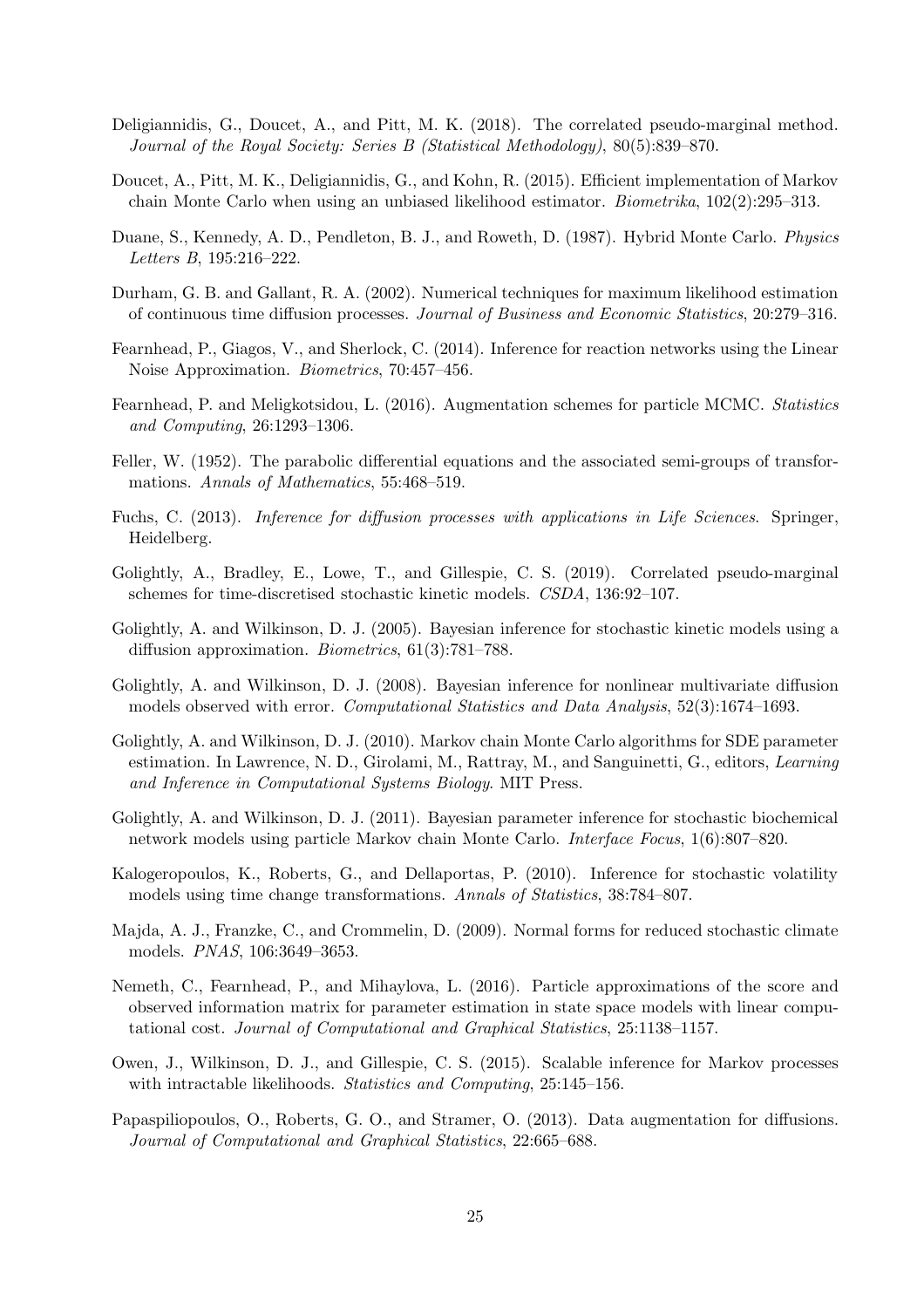- <span id="page-24-6"></span>Deligiannidis, G., Doucet, A., and Pitt, M. K. (2018). The correlated pseudo-marginal method. Journal of the Royal Society: Series B (Statistical Methodology), 80(5):839–870.
- <span id="page-24-9"></span>Doucet, A., Pitt, M. K., Deligiannidis, G., and Kohn, R. (2015). Efficient implementation of Markov chain Monte Carlo when using an unbiased likelihood estimator. Biometrika, 102(2):295–313.
- <span id="page-24-16"></span>Duane, S., Kennedy, A. D., Pendleton, B. J., and Roweth, D. (1987). Hybrid Monte Carlo. Physics Letters B, 195:216–222.
- <span id="page-24-8"></span>Durham, G. B. and Gallant, R. A. (2002). Numerical techniques for maximum likelihood estimation of continuous time diffusion processes. Journal of Business and Economic Statistics, 20:279–316.
- <span id="page-24-12"></span>Fearnhead, P., Giagos, V., and Sherlock, C. (2014). Inference for reaction networks using the Linear Noise Approximation. Biometrics, 70:457–456.
- <span id="page-24-15"></span>Fearnhead, P. and Meligkotsidou, L. (2016). Augmentation schemes for particle MCMC. Statistics and Computing, 26:1293–1306.
- <span id="page-24-13"></span>Feller, W. (1952). The parabolic differential equations and the associated semi-groups of transformations. Annals of Mathematics, 55:468-519.
- <span id="page-24-3"></span>Fuchs, C. (2013). Inference for diffusion processes with applications in Life Sciences. Springer, Heidelberg.
- <span id="page-24-7"></span>Golightly, A., Bradley, E., Lowe, T., and Gillespie, C. S. (2019). Correlated pseudo-marginal schemes for time-discretised stochastic kinetic models. CSDA, 136:92–107.
- <span id="page-24-14"></span>Golightly, A. and Wilkinson, D. J. (2005). Bayesian inference for stochastic kinetic models using a diffusion approximation. Biometrics, 61(3):781–788.
- <span id="page-24-4"></span>Golightly, A. and Wilkinson, D. J. (2008). Bayesian inference for nonlinear multivariate diffusion models observed with error. Computational Statistics and Data Analysis, 52(3):1674–1693.
- <span id="page-24-10"></span>Golightly, A. and Wilkinson, D. J. (2010). Markov chain Monte Carlo algorithms for SDE parameter estimation. In Lawrence, N. D., Girolami, M., Rattray, M., and Sanguinetti, G., editors, Learning and Inference in Computational Systems Biology. MIT Press.
- <span id="page-24-2"></span>Golightly, A. and Wilkinson, D. J. (2011). Bayesian parameter inference for stochastic biochemical network models using particle Markov chain Monte Carlo. Interface Focus, 1(6):807–820.
- <span id="page-24-0"></span>Kalogeropoulos, K., Roberts, G., and Dellaportas, P. (2010). Inference for stochastic volatility models using time change transformations. Annals of Statistics, 38:784–807.
- <span id="page-24-1"></span>Majda, A. J., Franzke, C., and Crommelin, D. (2009). Normal forms for reduced stochastic climate models. PNAS, 106:3649–3653.
- <span id="page-24-17"></span>Nemeth, C., Fearnhead, P., and Mihaylova, L. (2016). Particle approximations of the score and observed information matrix for parameter estimation in state space models with linear computational cost. Journal of Computational and Graphical Statistics, 25:1138–1157.
- <span id="page-24-11"></span>Owen, J., Wilkinson, D. J., and Gillespie, C. S. (2015). Scalable inference for Markov processes with intractable likelihoods. *Statistics and Computing*, 25:145–156.
- <span id="page-24-5"></span>Papaspiliopoulos, O., Roberts, G. O., and Stramer, O. (2013). Data augmentation for diffusions. Journal of Computational and Graphical Statistics, 22:665–688.